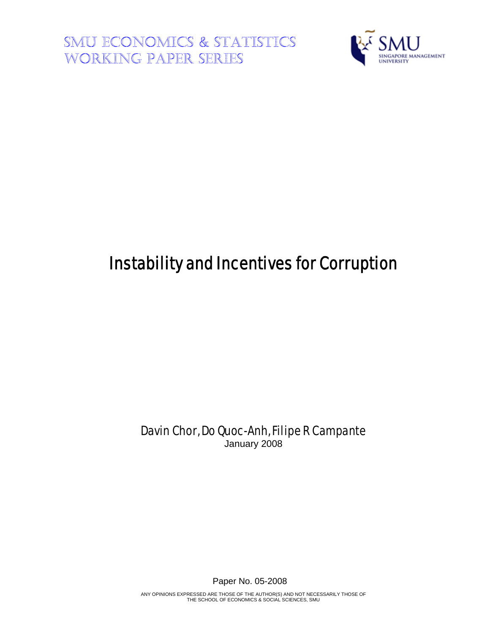**SMU ECONOMICS & STATISTICS WORKING PAPER SERIES** 



# Instability and Incentives for Corruption

Davin Chor, Do Quoc-Anh, Filipe R Campante January 2008

Paper No. 05-2008

ANY OPINIONS EXPRESSED ARE THOSE OF THE AUTHOR(S) AND NOT NECESSARILY THOSE OF THE SCHOOL OF ECONOMICS & SOCIAL SCIENCES, SMU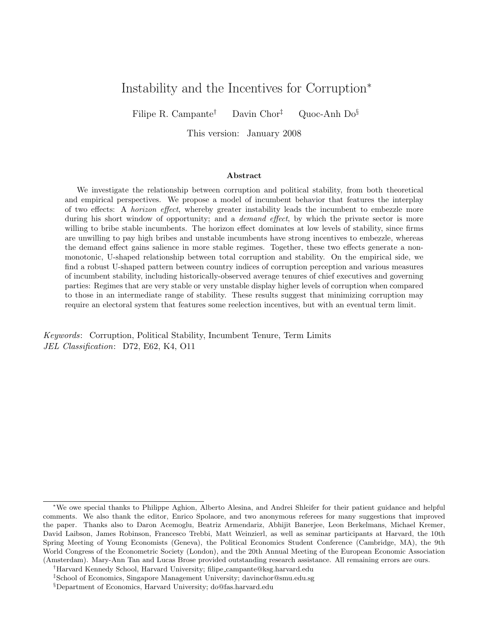# Instability and the Incentives for Corruption<sup>∗</sup>

Filipe R. Campante<sup>†</sup> Davin Chor<sup>‡</sup> Quoc-Anh Do<sup>§</sup>

This version: January 2008

## Abstract

We investigate the relationship between corruption and political stability, from both theoretical and empirical perspectives. We propose a model of incumbent behavior that features the interplay of two effects: A horizon effect, whereby greater instability leads the incumbent to embezzle more during his short window of opportunity; and a *demand effect*, by which the private sector is more willing to bribe stable incumbents. The horizon effect dominates at low levels of stability, since firms are unwilling to pay high bribes and unstable incumbents have strong incentives to embezzle, whereas the demand effect gains salience in more stable regimes. Together, these two effects generate a nonmonotonic, U-shaped relationship between total corruption and stability. On the empirical side, we find a robust U-shaped pattern between country indices of corruption perception and various measures of incumbent stability, including historically-observed average tenures of chief executives and governing parties: Regimes that are very stable or very unstable display higher levels of corruption when compared to those in an intermediate range of stability. These results suggest that minimizing corruption may require an electoral system that features some reelection incentives, but with an eventual term limit.

Keywords: Corruption, Political Stability, Incumbent Tenure, Term Limits JEL Classification: D72, E62, K4, O11

<sup>∗</sup>We owe special thanks to Philippe Aghion, Alberto Alesina, and Andrei Shleifer for their patient guidance and helpful comments. We also thank the editor, Enrico Spolaore, and two anonymous referees for many suggestions that improved the paper. Thanks also to Daron Acemoglu, Beatriz Armendariz, Abhijit Banerjee, Leon Berkelmans, Michael Kremer, David Laibson, James Robinson, Francesco Trebbi, Matt Weinzierl, as well as seminar participants at Harvard, the 10th Spring Meeting of Young Economists (Geneva), the Political Economics Student Conference (Cambridge, MA), the 9th World Congress of the Econometric Society (London), and the 20th Annual Meeting of the European Economic Association (Amsterdam). Mary-Ann Tan and Lucas Brose provided outstanding research assistance. All remaining errors are ours.

<sup>†</sup>Harvard Kennedy School, Harvard University; filipe campante@ksg.harvard.edu

<sup>‡</sup>School of Economics, Singapore Management University; davinchor@smu.edu.sg

<sup>§</sup>Department of Economics, Harvard University; do@fas.harvard.edu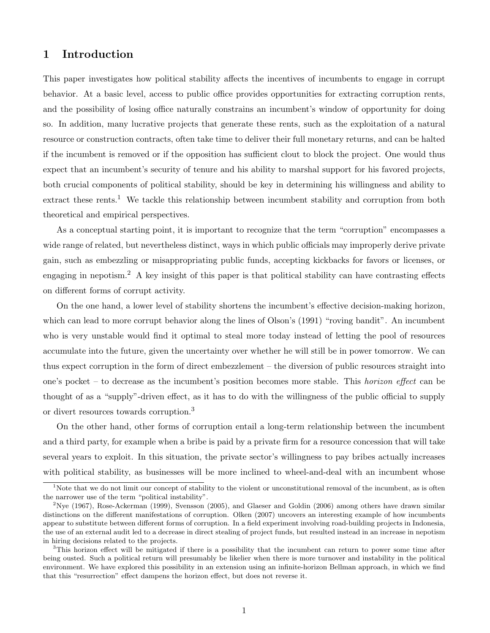# 1 Introduction

This paper investigates how political stability affects the incentives of incumbents to engage in corrupt behavior. At a basic level, access to public office provides opportunities for extracting corruption rents, and the possibility of losing office naturally constrains an incumbent's window of opportunity for doing so. In addition, many lucrative projects that generate these rents, such as the exploitation of a natural resource or construction contracts, often take time to deliver their full monetary returns, and can be halted if the incumbent is removed or if the opposition has sufficient clout to block the project. One would thus expect that an incumbent's security of tenure and his ability to marshal support for his favored projects, both crucial components of political stability, should be key in determining his willingness and ability to extract these rents.<sup>1</sup> We tackle this relationship between incumbent stability and corruption from both theoretical and empirical perspectives.

As a conceptual starting point, it is important to recognize that the term "corruption" encompasses a wide range of related, but nevertheless distinct, ways in which public officials may improperly derive private gain, such as embezzling or misappropriating public funds, accepting kickbacks for favors or licenses, or engaging in nepotism.<sup>2</sup> A key insight of this paper is that political stability can have contrasting effects on different forms of corrupt activity.

On the one hand, a lower level of stability shortens the incumbent's effective decision-making horizon, which can lead to more corrupt behavior along the lines of Olson's (1991) "roving bandit". An incumbent who is very unstable would find it optimal to steal more today instead of letting the pool of resources accumulate into the future, given the uncertainty over whether he will still be in power tomorrow. We can thus expect corruption in the form of direct embezzlement – the diversion of public resources straight into one's pocket – to decrease as the incumbent's position becomes more stable. This *horizon effect* can be thought of as a "supply"-driven effect, as it has to do with the willingness of the public official to supply or divert resources towards corruption.<sup>3</sup>

On the other hand, other forms of corruption entail a long-term relationship between the incumbent and a third party, for example when a bribe is paid by a private firm for a resource concession that will take several years to exploit. In this situation, the private sector's willingness to pay bribes actually increases with political stability, as businesses will be more inclined to wheel-and-deal with an incumbent whose

<sup>&</sup>lt;sup>1</sup>Note that we do not limit our concept of stability to the violent or unconstitutional removal of the incumbent, as is often the narrower use of the term "political instability".

 $2$ Nye (1967), Rose-Ackerman (1999), Svensson (2005), and Glaeser and Goldin (2006) among others have drawn similar distinctions on the different manifestations of corruption. Olken (2007) uncovers an interesting example of how incumbents appear to substitute between different forms of corruption. In a field experiment involving road-building projects in Indonesia, the use of an external audit led to a decrease in direct stealing of project funds, but resulted instead in an increase in nepotism in hiring decisions related to the projects.

<sup>3</sup>This horizon effect will be mitigated if there is a possibility that the incumbent can return to power some time after being ousted. Such a political return will presumably be likelier when there is more turnover and instability in the political environment. We have explored this possibility in an extension using an infinite-horizon Bellman approach, in which we find that this "resurrection" effect dampens the horizon effect, but does not reverse it.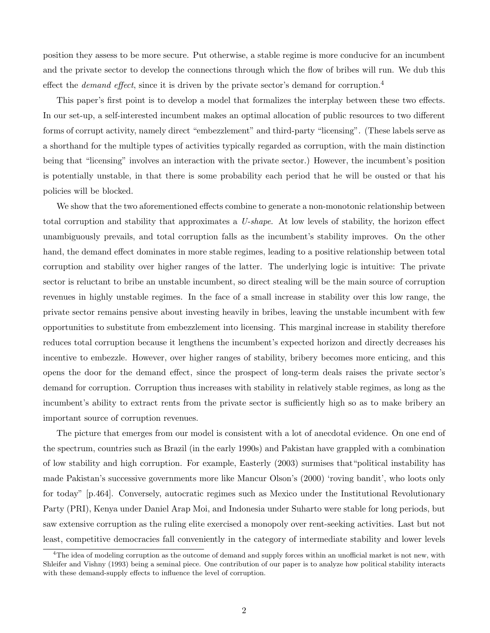position they assess to be more secure. Put otherwise, a stable regime is more conducive for an incumbent and the private sector to develop the connections through which the flow of bribes will run. We dub this effect the *demand effect*, since it is driven by the private sector's demand for corruption.<sup>4</sup>

This paper's first point is to develop a model that formalizes the interplay between these two effects. In our set-up, a self-interested incumbent makes an optimal allocation of public resources to two different forms of corrupt activity, namely direct "embezzlement" and third-party "licensing". (These labels serve as a shorthand for the multiple types of activities typically regarded as corruption, with the main distinction being that "licensing" involves an interaction with the private sector.) However, the incumbent's position is potentially unstable, in that there is some probability each period that he will be ousted or that his policies will be blocked.

We show that the two aforementioned effects combine to generate a non-monotonic relationship between total corruption and stability that approximates a U-shape. At low levels of stability, the horizon effect unambiguously prevails, and total corruption falls as the incumbent's stability improves. On the other hand, the demand effect dominates in more stable regimes, leading to a positive relationship between total corruption and stability over higher ranges of the latter. The underlying logic is intuitive: The private sector is reluctant to bribe an unstable incumbent, so direct stealing will be the main source of corruption revenues in highly unstable regimes. In the face of a small increase in stability over this low range, the private sector remains pensive about investing heavily in bribes, leaving the unstable incumbent with few opportunities to substitute from embezzlement into licensing. This marginal increase in stability therefore reduces total corruption because it lengthens the incumbent's expected horizon and directly decreases his incentive to embezzle. However, over higher ranges of stability, bribery becomes more enticing, and this opens the door for the demand effect, since the prospect of long-term deals raises the private sector's demand for corruption. Corruption thus increases with stability in relatively stable regimes, as long as the incumbent's ability to extract rents from the private sector is sufficiently high so as to make bribery an important source of corruption revenues.

The picture that emerges from our model is consistent with a lot of anecdotal evidence. On one end of the spectrum, countries such as Brazil (in the early 1990s) and Pakistan have grappled with a combination of low stability and high corruption. For example, Easterly (2003) surmises that"political instability has made Pakistan's successive governments more like Mancur Olson's (2000) 'roving bandit', who loots only for today" [p.464]. Conversely, autocratic regimes such as Mexico under the Institutional Revolutionary Party (PRI), Kenya under Daniel Arap Moi, and Indonesia under Suharto were stable for long periods, but saw extensive corruption as the ruling elite exercised a monopoly over rent-seeking activities. Last but not least, competitive democracies fall conveniently in the category of intermediate stability and lower levels

<sup>&</sup>lt;sup>4</sup>The idea of modeling corruption as the outcome of demand and supply forces within an unofficial market is not new, with Shleifer and Vishny (1993) being a seminal piece. One contribution of our paper is to analyze how political stability interacts with these demand-supply effects to influence the level of corruption.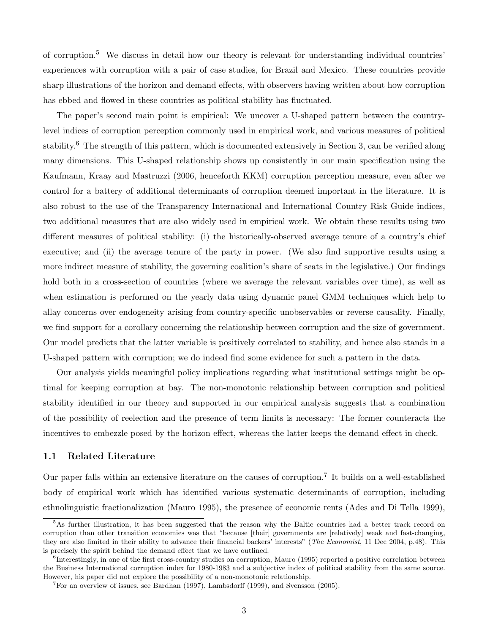of corruption.<sup>5</sup> We discuss in detail how our theory is relevant for understanding individual countries' experiences with corruption with a pair of case studies, for Brazil and Mexico. These countries provide sharp illustrations of the horizon and demand effects, with observers having written about how corruption has ebbed and flowed in these countries as political stability has fluctuated.

The paper's second main point is empirical: We uncover a U-shaped pattern between the countrylevel indices of corruption perception commonly used in empirical work, and various measures of political stability.<sup>6</sup> The strength of this pattern, which is documented extensively in Section 3, can be verified along many dimensions. This U-shaped relationship shows up consistently in our main specification using the Kaufmann, Kraay and Mastruzzi (2006, henceforth KKM) corruption perception measure, even after we control for a battery of additional determinants of corruption deemed important in the literature. It is also robust to the use of the Transparency International and International Country Risk Guide indices, two additional measures that are also widely used in empirical work. We obtain these results using two different measures of political stability: (i) the historically-observed average tenure of a country's chief executive; and (ii) the average tenure of the party in power. (We also find supportive results using a more indirect measure of stability, the governing coalition's share of seats in the legislative.) Our findings hold both in a cross-section of countries (where we average the relevant variables over time), as well as when estimation is performed on the yearly data using dynamic panel GMM techniques which help to allay concerns over endogeneity arising from country-specific unobservables or reverse causality. Finally, we find support for a corollary concerning the relationship between corruption and the size of government. Our model predicts that the latter variable is positively correlated to stability, and hence also stands in a U-shaped pattern with corruption; we do indeed find some evidence for such a pattern in the data.

Our analysis yields meaningful policy implications regarding what institutional settings might be optimal for keeping corruption at bay. The non-monotonic relationship between corruption and political stability identified in our theory and supported in our empirical analysis suggests that a combination of the possibility of reelection and the presence of term limits is necessary: The former counteracts the incentives to embezzle posed by the horizon effect, whereas the latter keeps the demand effect in check.

# 1.1 Related Literature

Our paper falls within an extensive literature on the causes of corruption.<sup>7</sup> It builds on a well-established body of empirical work which has identified various systematic determinants of corruption, including ethnolinguistic fractionalization (Mauro 1995), the presence of economic rents (Ades and Di Tella 1999),

<sup>&</sup>lt;sup>5</sup>As further illustration, it has been suggested that the reason why the Baltic countries had a better track record on corruption than other transition economies was that "because [their] governments are [relatively] weak and fast-changing, they are also limited in their ability to advance their financial backers' interests" (The Economist, 11 Dec 2004, p.48). This is precisely the spirit behind the demand effect that we have outlined.

<sup>&</sup>lt;sup>6</sup>Interestingly, in one of the first cross-country studies on corruption, Mauro (1995) reported a positive correlation between the Business International corruption index for 1980-1983 and a subjective index of political stability from the same source. However, his paper did not explore the possibility of a non-monotonic relationship.

 $7$ For an overview of issues, see Bardhan (1997), Lambsdorff (1999), and Svensson (2005).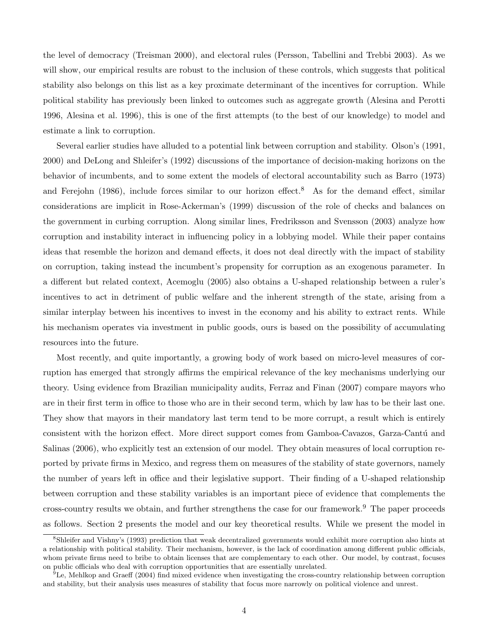the level of democracy (Treisman 2000), and electoral rules (Persson, Tabellini and Trebbi 2003). As we will show, our empirical results are robust to the inclusion of these controls, which suggests that political stability also belongs on this list as a key proximate determinant of the incentives for corruption. While political stability has previously been linked to outcomes such as aggregate growth (Alesina and Perotti 1996, Alesina et al. 1996), this is one of the first attempts (to the best of our knowledge) to model and estimate a link to corruption.

Several earlier studies have alluded to a potential link between corruption and stability. Olson's (1991, 2000) and DeLong and Shleifer's (1992) discussions of the importance of decision-making horizons on the behavior of incumbents, and to some extent the models of electoral accountability such as Barro (1973) and Ferejohn (1986), include forces similar to our horizon effect.<sup>8</sup> As for the demand effect, similar considerations are implicit in Rose-Ackerman's (1999) discussion of the role of checks and balances on the government in curbing corruption. Along similar lines, Fredriksson and Svensson (2003) analyze how corruption and instability interact in influencing policy in a lobbying model. While their paper contains ideas that resemble the horizon and demand effects, it does not deal directly with the impact of stability on corruption, taking instead the incumbent's propensity for corruption as an exogenous parameter. In a different but related context, Acemoglu (2005) also obtains a U-shaped relationship between a ruler's incentives to act in detriment of public welfare and the inherent strength of the state, arising from a similar interplay between his incentives to invest in the economy and his ability to extract rents. While his mechanism operates via investment in public goods, ours is based on the possibility of accumulating resources into the future.

Most recently, and quite importantly, a growing body of work based on micro-level measures of corruption has emerged that strongly affirms the empirical relevance of the key mechanisms underlying our theory. Using evidence from Brazilian municipality audits, Ferraz and Finan (2007) compare mayors who are in their first term in office to those who are in their second term, which by law has to be their last one. They show that mayors in their mandatory last term tend to be more corrupt, a result which is entirely consistent with the horizon effect. More direct support comes from Gamboa-Cavazos, Garza-Cantú and Salinas (2006), who explicitly test an extension of our model. They obtain measures of local corruption reported by private firms in Mexico, and regress them on measures of the stability of state governors, namely the number of years left in office and their legislative support. Their finding of a U-shaped relationship between corruption and these stability variables is an important piece of evidence that complements the cross-country results we obtain, and further strengthens the case for our framework.<sup>9</sup> The paper proceeds as follows. Section 2 presents the model and our key theoretical results. While we present the model in

<sup>8</sup>Shleifer and Vishny's (1993) prediction that weak decentralized governments would exhibit more corruption also hints at a relationship with political stability. Their mechanism, however, is the lack of coordination among different public officials, whom private firms need to bribe to obtain licenses that are complementary to each other. Our model, by contrast, focuses on public officials who deal with corruption opportunities that are essentially unrelated.

 $9$ Le, Mehlkop and Graeff (2004) find mixed evidence when investigating the cross-country relationship between corruption and stability, but their analysis uses measures of stability that focus more narrowly on political violence and unrest.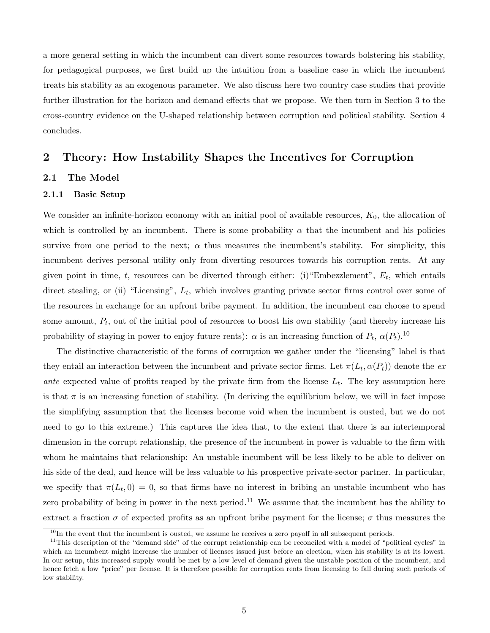a more general setting in which the incumbent can divert some resources towards bolstering his stability, for pedagogical purposes, we first build up the intuition from a baseline case in which the incumbent treats his stability as an exogenous parameter. We also discuss here two country case studies that provide further illustration for the horizon and demand effects that we propose. We then turn in Section 3 to the cross-country evidence on the U-shaped relationship between corruption and political stability. Section 4 concludes.

# 2 Theory: How Instability Shapes the Incentives for Corruption

# 2.1 The Model

# 2.1.1 Basic Setup

We consider an infinite-horizon economy with an initial pool of available resources,  $K_0$ , the allocation of which is controlled by an incumbent. There is some probability  $\alpha$  that the incumbent and his policies survive from one period to the next;  $\alpha$  thus measures the incumbent's stability. For simplicity, this incumbent derives personal utility only from diverting resources towards his corruption rents. At any given point in time, t, resources can be diverted through either: (i) "Embezzlement",  $E_t$ , which entails direct stealing, or (ii) "Licensing",  $L_t$ , which involves granting private sector firms control over some of the resources in exchange for an upfront bribe payment. In addition, the incumbent can choose to spend some amount,  $P_t$ , out of the initial pool of resources to boost his own stability (and thereby increase his probability of staying in power to enjoy future rents):  $\alpha$  is an increasing function of  $P_t$ ,  $\alpha(P_t)$ .<sup>10</sup>

The distinctive characteristic of the forms of corruption we gather under the "licensing" label is that they entail an interaction between the incumbent and private sector firms. Let  $\pi(L_t, \alpha(P_t))$  denote the exante expected value of profits reaped by the private firm from the license  $L_t$ . The key assumption here is that  $\pi$  is an increasing function of stability. (In deriving the equilibrium below, we will in fact impose the simplifying assumption that the licenses become void when the incumbent is ousted, but we do not need to go to this extreme.) This captures the idea that, to the extent that there is an intertemporal dimension in the corrupt relationship, the presence of the incumbent in power is valuable to the firm with whom he maintains that relationship: An unstable incumbent will be less likely to be able to deliver on his side of the deal, and hence will be less valuable to his prospective private-sector partner. In particular, we specify that  $\pi(L_t, 0) = 0$ , so that firms have no interest in bribing an unstable incumbent who has zero probability of being in power in the next period.<sup>11</sup> We assume that the incumbent has the ability to extract a fraction  $\sigma$  of expected profits as an upfront bribe payment for the license;  $\sigma$  thus measures the

 $10$ In the event that the incumbent is ousted, we assume he receives a zero payoff in all subsequent periods.

 $11$ This description of the "demand side" of the corrupt relationship can be reconciled with a model of "political cycles" in which an incumbent might increase the number of licenses issued just before an election, when his stability is at its lowest. In our setup, this increased supply would be met by a low level of demand given the unstable position of the incumbent, and hence fetch a low "price" per license. It is therefore possible for corruption rents from licensing to fall during such periods of low stability.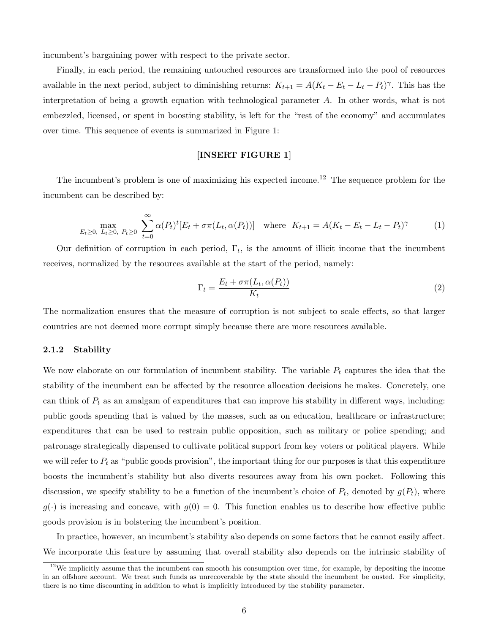incumbent's bargaining power with respect to the private sector.

Finally, in each period, the remaining untouched resources are transformed into the pool of resources available in the next period, subject to diminishing returns:  $K_{t+1} = A(K_t - E_t - L_t - P_t)^\gamma$ . This has the interpretation of being a growth equation with technological parameter A. In other words, what is not embezzled, licensed, or spent in boosting stability, is left for the "rest of the economy" and accumulates over time. This sequence of events is summarized in Figure 1:

# [INSERT FIGURE 1]

The incumbent's problem is one of maximizing his expected income.<sup>12</sup> The sequence problem for the incumbent can be described by:

$$
\max_{E_t \ge 0, \ L_t \ge 0, \ P_t \ge 0} \sum_{t=0}^{\infty} \alpha(P_t)^t [E_t + \sigma \pi(L_t, \alpha(P_t))] \quad \text{where} \quad K_{t+1} = A(K_t - E_t - L_t - P_t)^{\gamma} \tag{1}
$$

Our definition of corruption in each period,  $\Gamma_t$ , is the amount of illicit income that the incumbent receives, normalized by the resources available at the start of the period, namely:

$$
\Gamma_t = \frac{E_t + \sigma \pi (L_t, \alpha(P_t))}{K_t} \tag{2}
$$

The normalization ensures that the measure of corruption is not subject to scale effects, so that larger countries are not deemed more corrupt simply because there are more resources available.

#### 2.1.2 Stability

We now elaborate on our formulation of incumbent stability. The variable  $P_t$  captures the idea that the stability of the incumbent can be affected by the resource allocation decisions he makes. Concretely, one can think of  $P_t$  as an amalgam of expenditures that can improve his stability in different ways, including: public goods spending that is valued by the masses, such as on education, healthcare or infrastructure; expenditures that can be used to restrain public opposition, such as military or police spending; and patronage strategically dispensed to cultivate political support from key voters or political players. While we will refer to  $P_t$  as "public goods provision", the important thing for our purposes is that this expenditure boosts the incumbent's stability but also diverts resources away from his own pocket. Following this discussion, we specify stability to be a function of the incumbent's choice of  $P_t$ , denoted by  $g(P_t)$ , where  $g(\cdot)$  is increasing and concave, with  $g(0) = 0$ . This function enables us to describe how effective public goods provision is in bolstering the incumbent's position.

In practice, however, an incumbent's stability also depends on some factors that he cannot easily affect. We incorporate this feature by assuming that overall stability also depends on the intrinsic stability of

 $12$ We implicitly assume that the incumbent can smooth his consumption over time, for example, by depositing the income in an offshore account. We treat such funds as unrecoverable by the state should the incumbent be ousted. For simplicity, there is no time discounting in addition to what is implicitly introduced by the stability parameter.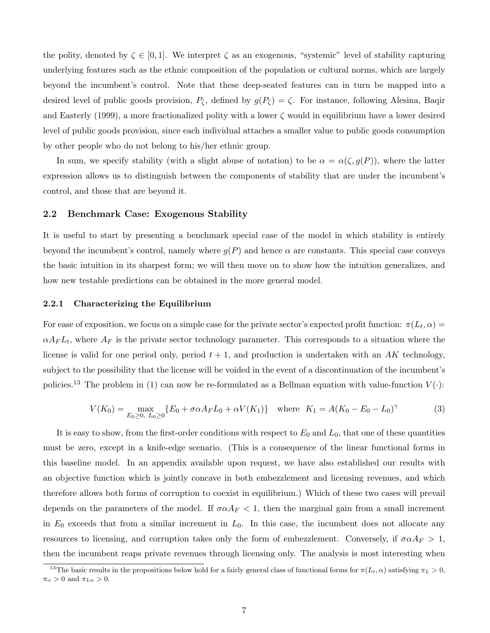the polity, denoted by  $\zeta \in [0,1]$ . We interpret  $\zeta$  as an exogenous, "systemic" level of stability capturing underlying features such as the ethnic composition of the population or cultural norms, which are largely beyond the incumbent's control. Note that these deep-seated features can in turn be mapped into a desired level of public goods provision,  $P_{\zeta}$ , defined by  $g(P_{\zeta}) = \zeta$ . For instance, following Alesina, Baqir and Easterly (1999), a more fractionalized polity with a lower  $\zeta$  would in equilibrium have a lower desired level of public goods provision, since each individual attaches a smaller value to public goods consumption by other people who do not belong to his/her ethnic group.

In sum, we specify stability (with a slight abuse of notation) to be  $\alpha = \alpha(\zeta, g(P))$ , where the latter expression allows us to distinguish between the components of stability that are under the incumbent's control, and those that are beyond it.

# 2.2 Benchmark Case: Exogenous Stability

It is useful to start by presenting a benchmark special case of the model in which stability is entirely beyond the incumbent's control, namely where  $q(P)$  and hence  $\alpha$  are constants. This special case conveys the basic intuition in its sharpest form; we will then move on to show how the intuition generalizes, and how new testable predictions can be obtained in the more general model.

#### 2.2.1 Characterizing the Equilibrium

For ease of exposition, we focus on a simple case for the private sector's expected profit function:  $\pi(L_t, \alpha) =$  $\alpha A_F L_t$ , where  $A_F$  is the private sector technology parameter. This corresponds to a situation where the license is valid for one period only, period  $t + 1$ , and production is undertaken with an AK technology, subject to the possibility that the license will be voided in the event of a discontinuation of the incumbent's policies.<sup>13</sup> The problem in (1) can now be re-formulated as a Bellman equation with value-function  $V(\cdot)$ :

$$
V(K_0) = \max_{E_0 \ge 0, \ L_0 \ge 0} \{ E_0 + \sigma \alpha A_F L_0 + \alpha V(K_1) \} \quad \text{where} \quad K_1 = A(K_0 - E_0 - L_0)^\gamma \tag{3}
$$

It is easy to show, from the first-order conditions with respect to  $E_0$  and  $L_0$ , that one of these quantities must be zero, except in a knife-edge scenario. (This is a consequence of the linear functional forms in this baseline model. In an appendix available upon request, we have also established our results with an objective function which is jointly concave in both embezzlement and licensing revenues, and which therefore allows both forms of corruption to coexist in equilibrium.) Which of these two cases will prevail depends on the parameters of the model. If  $\sigma \alpha A_F < 1$ , then the marginal gain from a small increment in  $E_0$  exceeds that from a similar increment in  $L_0$ . In this case, the incumbent does not allocate any resources to licensing, and corruption takes only the form of embezzlement. Conversely, if  $\sigma \alpha A_F > 1$ , then the incumbent reaps private revenues through licensing only. The analysis is most interesting when

<sup>&</sup>lt;sup>13</sup>The basic results in the propositions below hold for a fairly general class of functional forms for  $\pi(L_t, \alpha)$  satisfying  $\pi_L > 0$ ,  $\pi_{\alpha} > 0$  and  $\pi_{L\alpha} > 0$ .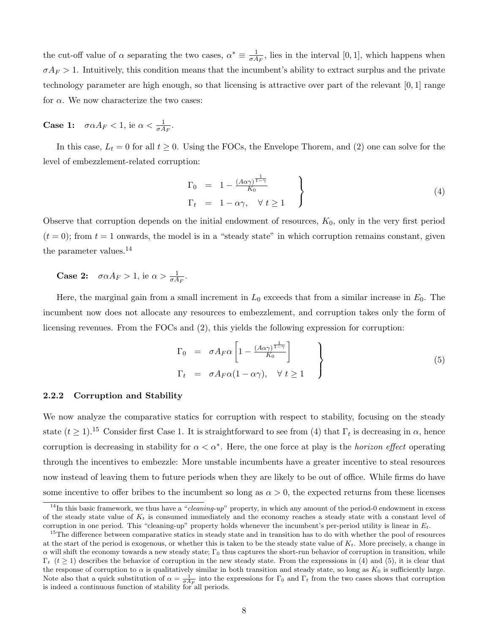the cut-off value of  $\alpha$  separating the two cases,  $\alpha^* \equiv \frac{1}{\sigma^4}$  $\frac{1}{\sigma A_F}$ , lies in the interval [0, 1], which happens when  $\sigma A_F > 1$ . Intuitively, this condition means that the incumbent's ability to extract surplus and the private technology parameter are high enough, so that licensing is attractive over part of the relevant [0, 1] range for  $\alpha$ . We now characterize the two cases:

**Case 1:**  $\sigma \alpha A_F < 1$ , ie  $\alpha < \frac{1}{\sigma A_F}$ .

In this case,  $L_t = 0$  for all  $t \geq 0$ . Using the FOCs, the Envelope Thorem, and (2) one can solve for the level of embezzlement-related corruption:

$$
\Gamma_0 = 1 - \frac{(A\alpha\gamma)^{\frac{1}{1-\gamma}}}{K_0}
$$
\n
$$
\Gamma_t = 1 - \alpha\gamma, \quad \forall \ t \ge 1
$$
\n(4)

Observe that corruption depends on the initial endowment of resources,  $K_0$ , only in the very first period  $(t = 0)$ ; from  $t = 1$  onwards, the model is in a "steady state" in which corruption remains constant, given the parameter values.<sup>14</sup>

**Case 2:**  $\sigma \alpha A_F > 1$ , ie  $\alpha > \frac{1}{\sigma A_F}$ .

Here, the marginal gain from a small increment in  $L_0$  exceeds that from a similar increase in  $E_0$ . The incumbent now does not allocate any resources to embezzlement, and corruption takes only the form of licensing revenues. From the FOCs and (2), this yields the following expression for corruption:

$$
\Gamma_0 = \sigma A_F \alpha \left[ 1 - \frac{(A\alpha \gamma)^{\frac{1}{1-\gamma}}}{K_0} \right]
$$
\n
$$
\Gamma_t = \sigma A_F \alpha (1 - \alpha \gamma), \quad \forall \ t \ge 1
$$
\n(5)

#### 2.2.2 Corruption and Stability

We now analyze the comparative statics for corruption with respect to stability, focusing on the steady state  $(t \ge 1)$ .<sup>15</sup> Consider first Case 1. It is straightforward to see from (4) that  $\Gamma_t$  is decreasing in  $\alpha$ , hence corruption is decreasing in stability for  $\alpha < \alpha^*$ . Here, the one force at play is the *horizon effect* operating through the incentives to embezzle: More unstable incumbents have a greater incentive to steal resources now instead of leaving them to future periods when they are likely to be out of office. While firms do have some incentive to offer bribes to the incumbent so long as  $\alpha > 0$ , the expected returns from these licenses

 $14$ In this basic framework, we thus have a "*cleaning-up*" property, in which any amount of the period-0 endowment in excess of the steady state value of  $K_t$  is consumed immediately and the economy reaches a steady state with a constant level of corruption in one period. This "cleaning-up" property holds whenever the incumbent's per-period utility is linear in  $E_t$ .

<sup>&</sup>lt;sup>15</sup>The difference between comparative statics in steady state and in transition has to do with whether the pool of resources at the start of the period is exogenous, or whether this is taken to be the steady state value of  $K_t$ . More precisely, a change in  $\alpha$  will shift the economy towards a new steady state;  $\Gamma_0$  thus captures the short-run behavior of corruption in transition, while  $\Gamma_t$  (t  $\geq$  1) describes the behavior of corruption in the new steady state. From the expressions in (4) and (5), it is clear that the response of corruption to  $\alpha$  is qualitatively similar in both transition and steady state, so long as  $K_0$  is sufficiently large. Note also that a quick substitution of  $\alpha = \frac{1}{\sigma A_F}$  into the expressions for  $\Gamma_0$  and  $\Gamma_t$  from the two cases shows that corruption is indeed a continuous function of stability for all periods.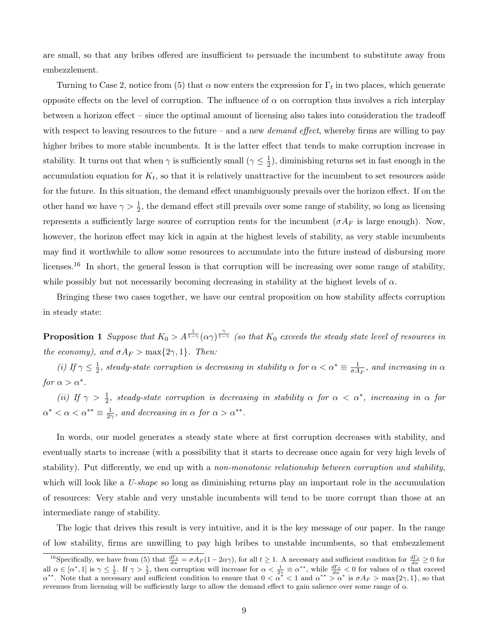are small, so that any bribes offered are insufficient to persuade the incumbent to substitute away from embezzlement.

Turning to Case 2, notice from (5) that  $\alpha$  now enters the expression for  $\Gamma_t$  in two places, which generate opposite effects on the level of corruption. The influence of  $\alpha$  on corruption thus involves a rich interplay between a horizon effect – since the optimal amount of licensing also takes into consideration the tradeoff with respect to leaving resources to the future – and a new *demand effect*, whereby firms are willing to pay higher bribes to more stable incumbents. It is the latter effect that tends to make corruption increase in stability. It turns out that when  $\gamma$  is sufficiently small  $(\gamma \leq \frac{1}{2})$  $\frac{1}{2}$ , diminishing returns set in fast enough in the accumulation equation for  $K_t$ , so that it is relatively unattractive for the incumbent to set resources aside for the future. In this situation, the demand effect unambiguously prevails over the horizon effect. If on the other hand we have  $\gamma > \frac{1}{2}$ , the demand effect still prevails over some range of stability, so long as licensing represents a sufficiently large source of corruption rents for the incumbent ( $\sigma A_F$  is large enough). Now, however, the horizon effect may kick in again at the highest levels of stability, as very stable incumbents may find it worthwhile to allow some resources to accumulate into the future instead of disbursing more licenses.<sup>16</sup> In short, the general lesson is that corruption will be increasing over some range of stability, while possibly but not necessarily becoming decreasing in stability at the highest levels of  $\alpha$ .

Bringing these two cases together, we have our central proposition on how stability affects corruption in steady state:

**Proposition 1** Suppose that  $K_0 > A^{\frac{1}{1-\gamma}}(\alpha \gamma)^{\frac{\gamma}{1-\gamma}}$  (so that  $K_0$  exceeds the steady state level of resources in the economy), and  $\sigma A_F > \max\{2\gamma, 1\}$ . Then:

(*i*) If  $\gamma \leq \frac{1}{2}$  $\frac{1}{2}$ , steady-state corruption is decreasing in stability  $\alpha$  for  $\alpha < \alpha^* \equiv \frac{1}{\sigma A}$  $\frac{1}{\sigma A_F}$ , and increasing in  $\alpha$ for  $\alpha > \alpha^*$ .

(ii) If  $\gamma > \frac{1}{2}$ , steady-state corruption is decreasing in stability  $\alpha$  for  $\alpha < \alpha^*$ , increasing in  $\alpha$  for  $\alpha^* < \alpha < \alpha^{**} \equiv \frac{1}{24}$  $\frac{1}{2\gamma}$ , and decreasing in  $\alpha$  for  $\alpha > \alpha^{**}$ .

In words, our model generates a steady state where at first corruption decreases with stability, and eventually starts to increase (with a possibility that it starts to decrease once again for very high levels of stability). Put differently, we end up with a non-monotonic relationship between corruption and stability, which will look like a U-shape so long as diminishing returns play an important role in the accumulation of resources: Very stable and very unstable incumbents will tend to be more corrupt than those at an intermediate range of stability.

The logic that drives this result is very intuitive, and it is the key message of our paper. In the range of low stability, firms are unwilling to pay high bribes to unstable incumbents, so that embezzlement

<sup>&</sup>lt;sup>16</sup>Specifically, we have from (5) that  $\frac{d\Gamma_t}{d\alpha} = \sigma A_F (1 - 2\alpha \gamma)$ , for all  $t \ge 1$ . A necessary and sufficient condition for  $\frac{d\Gamma_t}{d\alpha} \ge 0$  for all  $\alpha \in [\alpha^*, 1]$  is  $\gamma \leq \frac{1}{2}$ . If  $\gamma > \frac{1}{2}$ , then corruption will increase for  $\alpha < \frac{1}{2\gamma} \equiv \alpha^{**}$ , while  $\frac{d\Gamma_t}{d\alpha} < 0$  for values of  $\alpha$  that exceed  $\alpha^{**}$ . Note that a necessary and sufficient condition to ensure that  $0 < \alpha^* < 1$  and  $\alpha^{**} > \alpha^*$  is  $\sigma A_F > \max\{2\gamma, 1\}$ , so that revenues from licensing will be sufficiently large to allow the demand effect to gain salience over some range of  $\alpha$ .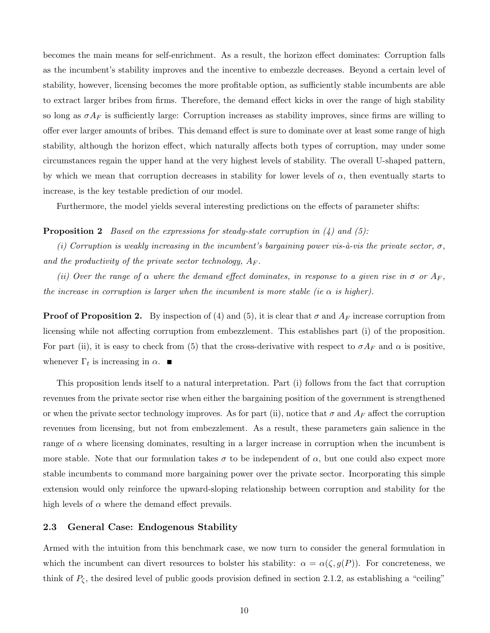becomes the main means for self-enrichment. As a result, the horizon effect dominates: Corruption falls as the incumbent's stability improves and the incentive to embezzle decreases. Beyond a certain level of stability, however, licensing becomes the more profitable option, as sufficiently stable incumbents are able to extract larger bribes from firms. Therefore, the demand effect kicks in over the range of high stability so long as  $\sigma A_F$  is sufficiently large: Corruption increases as stability improves, since firms are willing to offer ever larger amounts of bribes. This demand effect is sure to dominate over at least some range of high stability, although the horizon effect, which naturally affects both types of corruption, may under some circumstances regain the upper hand at the very highest levels of stability. The overall U-shaped pattern, by which we mean that corruption decreases in stability for lower levels of  $\alpha$ , then eventually starts to increase, is the key testable prediction of our model.

Furthermore, the model yields several interesting predictions on the effects of parameter shifts:

#### **Proposition 2** Based on the expressions for steady-state corruption in  $(4)$  and  $(5)$ :

(i) Corruption is weakly increasing in the incumbent's bargaining power vis- $\hat{a}$ -vis the private sector,  $\sigma$ , and the productivity of the private sector technology,  $A_F$ .

(ii) Over the range of  $\alpha$  where the demand effect dominates, in response to a given rise in  $\sigma$  or  $A_F$ , the increase in corruption is larger when the incumbent is more stable (ie  $\alpha$  is higher).

**Proof of Proposition 2.** By inspection of (4) and (5), it is clear that  $\sigma$  and  $A_F$  increase corruption from licensing while not affecting corruption from embezzlement. This establishes part (i) of the proposition. For part (ii), it is easy to check from (5) that the cross-derivative with respect to  $\sigma A_F$  and  $\alpha$  is positive, whenever  $\Gamma_t$  is increasing in  $\alpha$ .

This proposition lends itself to a natural interpretation. Part (i) follows from the fact that corruption revenues from the private sector rise when either the bargaining position of the government is strengthened or when the private sector technology improves. As for part (ii), notice that  $\sigma$  and  $A_F$  affect the corruption revenues from licensing, but not from embezzlement. As a result, these parameters gain salience in the range of  $\alpha$  where licensing dominates, resulting in a larger increase in corruption when the incumbent is more stable. Note that our formulation takes  $\sigma$  to be independent of  $\alpha$ , but one could also expect more stable incumbents to command more bargaining power over the private sector. Incorporating this simple extension would only reinforce the upward-sloping relationship between corruption and stability for the high levels of  $\alpha$  where the demand effect prevails.

# 2.3 General Case: Endogenous Stability

Armed with the intuition from this benchmark case, we now turn to consider the general formulation in which the incumbent can divert resources to bolster his stability:  $\alpha = \alpha(\zeta, g(P))$ . For concreteness, we think of  $P_{\zeta}$ , the desired level of public goods provision defined in section 2.1.2, as establishing a "ceiling"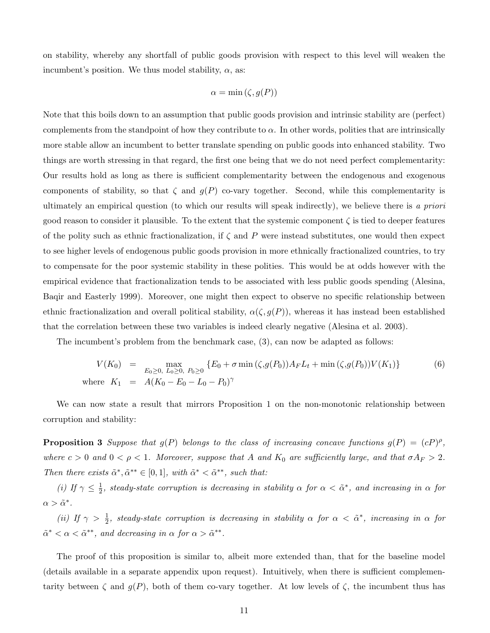on stability, whereby any shortfall of public goods provision with respect to this level will weaken the incumbent's position. We thus model stability,  $\alpha$ , as:

$$
\alpha = \min(\zeta, g(P))
$$

Note that this boils down to an assumption that public goods provision and intrinsic stability are (perfect) complements from the standpoint of how they contribute to  $\alpha$ . In other words, polities that are intrinsically more stable allow an incumbent to better translate spending on public goods into enhanced stability. Two things are worth stressing in that regard, the first one being that we do not need perfect complementarity: Our results hold as long as there is sufficient complementarity between the endogenous and exogenous components of stability, so that  $\zeta$  and  $g(P)$  co-vary together. Second, while this complementarity is ultimately an empirical question (to which our results will speak indirectly), we believe there is a priori good reason to consider it plausible. To the extent that the systemic component  $\zeta$  is tied to deeper features of the polity such as ethnic fractionalization, if  $\zeta$  and P were instead substitutes, one would then expect to see higher levels of endogenous public goods provision in more ethnically fractionalized countries, to try to compensate for the poor systemic stability in these polities. This would be at odds however with the empirical evidence that fractionalization tends to be associated with less public goods spending (Alesina, Baqir and Easterly 1999). Moreover, one might then expect to observe no specific relationship between ethnic fractionalization and overall political stability,  $\alpha(\zeta, g(P))$ , whereas it has instead been established that the correlation between these two variables is indeed clearly negative (Alesina et al. 2003).

The incumbent's problem from the benchmark case, (3), can now be adapted as follows:

$$
V(K_0) = \max_{E_0 \ge 0, L_0 \ge 0, P_0 \ge 0} \{E_0 + \sigma \min(\zeta, g(P_0)) A_F L_t + \min(\zeta, g(P_0)) V(K_1) \}
$$
(6)  
where  $K_1 = A(K_0 - E_0 - L_0 - P_0)^{\gamma}$ 

We can now state a result that mirrors Proposition 1 on the non-monotonic relationship between corruption and stability:

**Proposition 3** Suppose that  $g(P)$  belongs to the class of increasing concave functions  $g(P) = (cP)^{\rho}$ , where  $c > 0$  and  $0 < \rho < 1$ . Moreover, suppose that A and  $K_0$  are sufficiently large, and that  $\sigma A_F > 2$ . Then there exists  $\tilde{\alpha}^*, \tilde{\alpha}^{**} \in [0,1]$ , with  $\tilde{\alpha}^* < \tilde{\alpha}^{**}$ , such that:

(i) If  $\gamma \leq \frac{1}{2}$  $\frac{1}{2}$ , steady-state corruption is decreasing in stability  $\alpha$  for  $\alpha < \tilde{\alpha}^*$ , and increasing in  $\alpha$  for  $\alpha > \tilde{\alpha}^*.$ 

(ii) If  $\gamma > \frac{1}{2}$ , steady-state corruption is decreasing in stability  $\alpha$  for  $\alpha < \tilde{\alpha}^*$ , increasing in  $\alpha$  for  $\tilde{\alpha}^* < \alpha < \tilde{\alpha}^{**}$ , and decreasing in  $\alpha$  for  $\alpha > \tilde{\alpha}^{**}$ .

The proof of this proposition is similar to, albeit more extended than, that for the baseline model (details available in a separate appendix upon request). Intuitively, when there is sufficient complementarity between  $\zeta$  and  $g(P)$ , both of them co-vary together. At low levels of  $\zeta$ , the incumbent thus has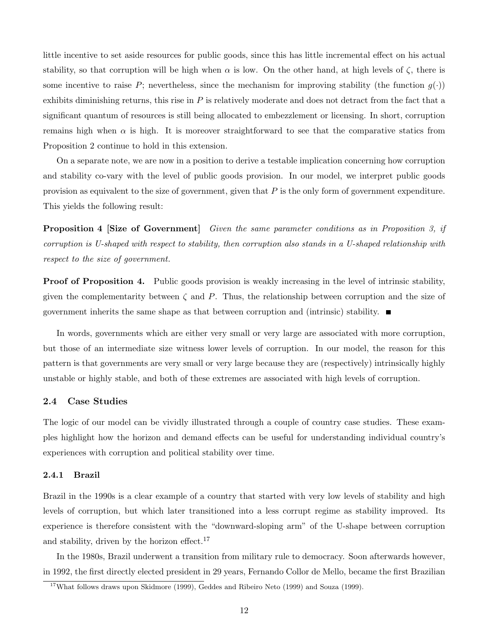little incentive to set aside resources for public goods, since this has little incremental effect on his actual stability, so that corruption will be high when  $\alpha$  is low. On the other hand, at high levels of  $\zeta$ , there is some incentive to raise P; nevertheless, since the mechanism for improving stability (the function  $g(\cdot)$ ) exhibits diminishing returns, this rise in  $P$  is relatively moderate and does not detract from the fact that a significant quantum of resources is still being allocated to embezzlement or licensing. In short, corruption remains high when  $\alpha$  is high. It is moreover straightforward to see that the comparative statics from Proposition 2 continue to hold in this extension.

On a separate note, we are now in a position to derive a testable implication concerning how corruption and stability co-vary with the level of public goods provision. In our model, we interpret public goods provision as equivalent to the size of government, given that  $P$  is the only form of government expenditure. This yields the following result:

Proposition 4 [Size of Government] Given the same parameter conditions as in Proposition 3, if corruption is U-shaped with respect to stability, then corruption also stands in a U-shaped relationship with respect to the size of government.

**Proof of Proposition 4.** Public goods provision is weakly increasing in the level of intrinsic stability, given the complementarity between  $\zeta$  and P. Thus, the relationship between corruption and the size of government inherits the same shape as that between corruption and (intrinsic) stability.  $\blacksquare$ 

In words, governments which are either very small or very large are associated with more corruption, but those of an intermediate size witness lower levels of corruption. In our model, the reason for this pattern is that governments are very small or very large because they are (respectively) intrinsically highly unstable or highly stable, and both of these extremes are associated with high levels of corruption.

## 2.4 Case Studies

The logic of our model can be vividly illustrated through a couple of country case studies. These examples highlight how the horizon and demand effects can be useful for understanding individual country's experiences with corruption and political stability over time.

## 2.4.1 Brazil

Brazil in the 1990s is a clear example of a country that started with very low levels of stability and high levels of corruption, but which later transitioned into a less corrupt regime as stability improved. Its experience is therefore consistent with the "downward-sloping arm" of the U-shape between corruption and stability, driven by the horizon effect.<sup>17</sup>

In the 1980s, Brazil underwent a transition from military rule to democracy. Soon afterwards however, in 1992, the first directly elected president in 29 years, Fernando Collor de Mello, became the first Brazilian

<sup>&</sup>lt;sup>17</sup>What follows draws upon Skidmore (1999), Geddes and Ribeiro Neto (1999) and Souza (1999).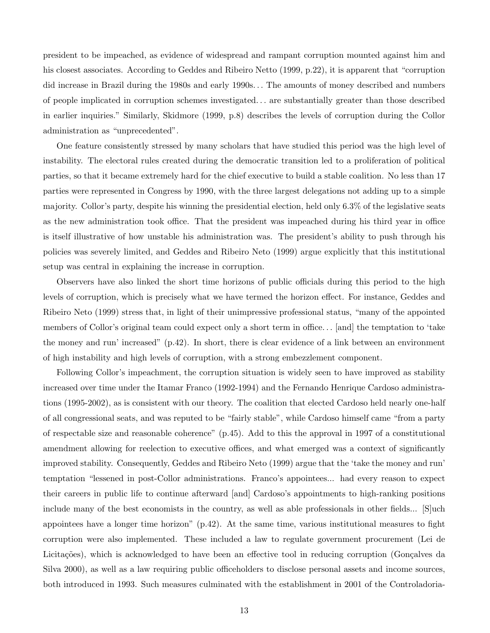president to be impeached, as evidence of widespread and rampant corruption mounted against him and his closest associates. According to Geddes and Ribeiro Netto (1999, p.22), it is apparent that "corruption did increase in Brazil during the 1980s and early 1990s. . . The amounts of money described and numbers of people implicated in corruption schemes investigated. . . are substantially greater than those described in earlier inquiries." Similarly, Skidmore (1999, p.8) describes the levels of corruption during the Collor administration as "unprecedented".

One feature consistently stressed by many scholars that have studied this period was the high level of instability. The electoral rules created during the democratic transition led to a proliferation of political parties, so that it became extremely hard for the chief executive to build a stable coalition. No less than 17 parties were represented in Congress by 1990, with the three largest delegations not adding up to a simple majority. Collor's party, despite his winning the presidential election, held only 6.3% of the legislative seats as the new administration took office. That the president was impeached during his third year in office is itself illustrative of how unstable his administration was. The president's ability to push through his policies was severely limited, and Geddes and Ribeiro Neto (1999) argue explicitly that this institutional setup was central in explaining the increase in corruption.

Observers have also linked the short time horizons of public officials during this period to the high levels of corruption, which is precisely what we have termed the horizon effect. For instance, Geddes and Ribeiro Neto (1999) stress that, in light of their unimpressive professional status, "many of the appointed members of Collor's original team could expect only a short term in office. . . [and] the temptation to 'take the money and run' increased" (p.42). In short, there is clear evidence of a link between an environment of high instability and high levels of corruption, with a strong embezzlement component.

Following Collor's impeachment, the corruption situation is widely seen to have improved as stability increased over time under the Itamar Franco (1992-1994) and the Fernando Henrique Cardoso administrations (1995-2002), as is consistent with our theory. The coalition that elected Cardoso held nearly one-half of all congressional seats, and was reputed to be "fairly stable", while Cardoso himself came "from a party of respectable size and reasonable coherence" (p.45). Add to this the approval in 1997 of a constitutional amendment allowing for reelection to executive offices, and what emerged was a context of significantly improved stability. Consequently, Geddes and Ribeiro Neto (1999) argue that the 'take the money and run' temptation "lessened in post-Collor administrations. Franco's appointees... had every reason to expect their careers in public life to continue afterward [and] Cardoso's appointments to high-ranking positions include many of the best economists in the country, as well as able professionals in other fields... [S]uch appointees have a longer time horizon" (p.42). At the same time, various institutional measures to fight corruption were also implemented. These included a law to regulate government procurement (Lei de Licitações), which is acknowledged to have been an effective tool in reducing corruption (Gonçalves da Silva 2000), as well as a law requiring public officeholders to disclose personal assets and income sources, both introduced in 1993. Such measures culminated with the establishment in 2001 of the Controladoria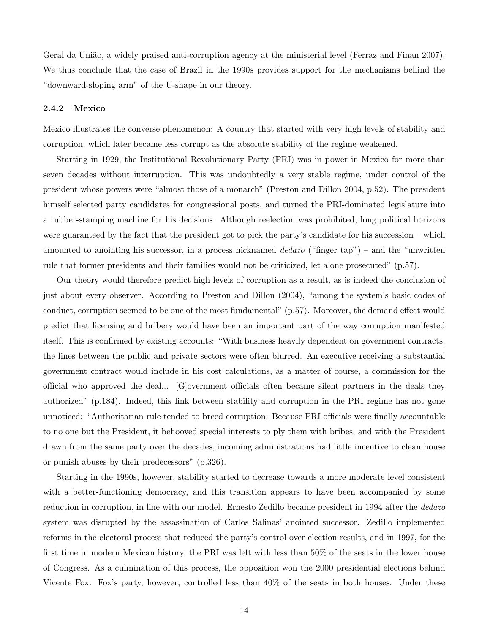Geral da União, a widely praised anti-corruption agency at the ministerial level (Ferraz and Finan 2007). We thus conclude that the case of Brazil in the 1990s provides support for the mechanisms behind the "downward-sloping arm" of the U-shape in our theory.

#### 2.4.2 Mexico

Mexico illustrates the converse phenomenon: A country that started with very high levels of stability and corruption, which later became less corrupt as the absolute stability of the regime weakened.

Starting in 1929, the Institutional Revolutionary Party (PRI) was in power in Mexico for more than seven decades without interruption. This was undoubtedly a very stable regime, under control of the president whose powers were "almost those of a monarch" (Preston and Dillon 2004, p.52). The president himself selected party candidates for congressional posts, and turned the PRI-dominated legislature into a rubber-stamping machine for his decisions. Although reelection was prohibited, long political horizons were guaranteed by the fact that the president got to pick the party's candidate for his succession – which amounted to anointing his successor, in a process nicknamed dedazo ("finger tap") – and the "unwritten rule that former presidents and their families would not be criticized, let alone prosecuted" (p.57).

Our theory would therefore predict high levels of corruption as a result, as is indeed the conclusion of just about every observer. According to Preston and Dillon (2004), "among the system's basic codes of conduct, corruption seemed to be one of the most fundamental" (p.57). Moreover, the demand effect would predict that licensing and bribery would have been an important part of the way corruption manifested itself. This is confirmed by existing accounts: "With business heavily dependent on government contracts, the lines between the public and private sectors were often blurred. An executive receiving a substantial government contract would include in his cost calculations, as a matter of course, a commission for the official who approved the deal... [G]overnment officials often became silent partners in the deals they authorized" (p.184). Indeed, this link between stability and corruption in the PRI regime has not gone unnoticed: "Authoritarian rule tended to breed corruption. Because PRI officials were finally accountable to no one but the President, it behooved special interests to ply them with bribes, and with the President drawn from the same party over the decades, incoming administrations had little incentive to clean house or punish abuses by their predecessors" (p.326).

Starting in the 1990s, however, stability started to decrease towards a more moderate level consistent with a better-functioning democracy, and this transition appears to have been accompanied by some reduction in corruption, in line with our model. Ernesto Zedillo became president in 1994 after the *dedazo* system was disrupted by the assassination of Carlos Salinas' anointed successor. Zedillo implemented reforms in the electoral process that reduced the party's control over election results, and in 1997, for the first time in modern Mexican history, the PRI was left with less than 50% of the seats in the lower house of Congress. As a culmination of this process, the opposition won the 2000 presidential elections behind Vicente Fox. Fox's party, however, controlled less than 40% of the seats in both houses. Under these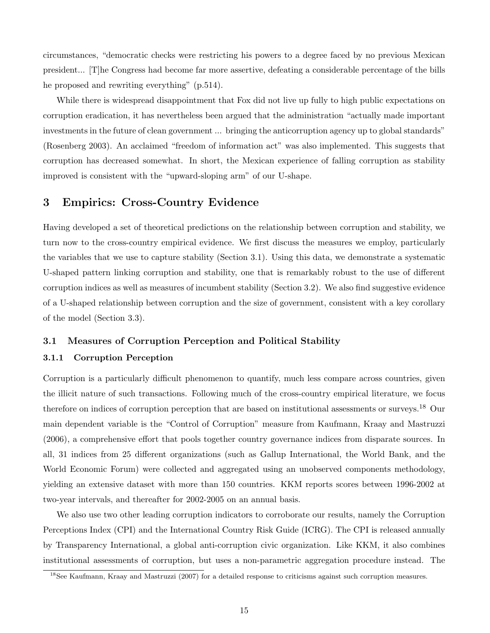circumstances, "democratic checks were restricting his powers to a degree faced by no previous Mexican president... [T]he Congress had become far more assertive, defeating a considerable percentage of the bills he proposed and rewriting everything" (p.514).

While there is widespread disappointment that Fox did not live up fully to high public expectations on corruption eradication, it has nevertheless been argued that the administration "actually made important investments in the future of clean government ... bringing the anticorruption agency up to global standards" (Rosenberg 2003). An acclaimed "freedom of information act" was also implemented. This suggests that corruption has decreased somewhat. In short, the Mexican experience of falling corruption as stability improved is consistent with the "upward-sloping arm" of our U-shape.

# 3 Empirics: Cross-Country Evidence

Having developed a set of theoretical predictions on the relationship between corruption and stability, we turn now to the cross-country empirical evidence. We first discuss the measures we employ, particularly the variables that we use to capture stability (Section 3.1). Using this data, we demonstrate a systematic U-shaped pattern linking corruption and stability, one that is remarkably robust to the use of different corruption indices as well as measures of incumbent stability (Section 3.2). We also find suggestive evidence of a U-shaped relationship between corruption and the size of government, consistent with a key corollary of the model (Section 3.3).

# 3.1 Measures of Corruption Perception and Political Stability

## 3.1.1 Corruption Perception

Corruption is a particularly difficult phenomenon to quantify, much less compare across countries, given the illicit nature of such transactions. Following much of the cross-country empirical literature, we focus therefore on indices of corruption perception that are based on institutional assessments or surveys.<sup>18</sup> Our main dependent variable is the "Control of Corruption" measure from Kaufmann, Kraay and Mastruzzi (2006), a comprehensive effort that pools together country governance indices from disparate sources. In all, 31 indices from 25 different organizations (such as Gallup International, the World Bank, and the World Economic Forum) were collected and aggregated using an unobserved components methodology, yielding an extensive dataset with more than 150 countries. KKM reports scores between 1996-2002 at two-year intervals, and thereafter for 2002-2005 on an annual basis.

We also use two other leading corruption indicators to corroborate our results, namely the Corruption Perceptions Index (CPI) and the International Country Risk Guide (ICRG). The CPI is released annually by Transparency International, a global anti-corruption civic organization. Like KKM, it also combines institutional assessments of corruption, but uses a non-parametric aggregation procedure instead. The

<sup>&</sup>lt;sup>18</sup>See Kaufmann, Kraay and Mastruzzi (2007) for a detailed response to criticisms against such corruption measures.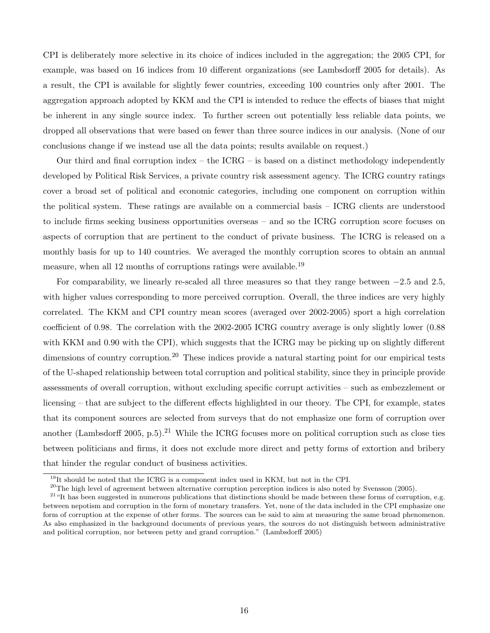CPI is deliberately more selective in its choice of indices included in the aggregation; the 2005 CPI, for example, was based on 16 indices from 10 different organizations (see Lambsdorff 2005 for details). As a result, the CPI is available for slightly fewer countries, exceeding 100 countries only after 2001. The aggregation approach adopted by KKM and the CPI is intended to reduce the effects of biases that might be inherent in any single source index. To further screen out potentially less reliable data points, we dropped all observations that were based on fewer than three source indices in our analysis. (None of our conclusions change if we instead use all the data points; results available on request.)

Our third and final corruption index – the  $ICRG$  – is based on a distinct methodology independently developed by Political Risk Services, a private country risk assessment agency. The ICRG country ratings cover a broad set of political and economic categories, including one component on corruption within the political system. These ratings are available on a commercial basis – ICRG clients are understood to include firms seeking business opportunities overseas – and so the ICRG corruption score focuses on aspects of corruption that are pertinent to the conduct of private business. The ICRG is released on a monthly basis for up to 140 countries. We averaged the monthly corruption scores to obtain an annual measure, when all 12 months of corruptions ratings were available.<sup>19</sup>

For comparability, we linearly re-scaled all three measures so that they range between −2.5 and 2.5, with higher values corresponding to more perceived corruption. Overall, the three indices are very highly correlated. The KKM and CPI country mean scores (averaged over 2002-2005) sport a high correlation coefficient of 0.98. The correlation with the 2002-2005 ICRG country average is only slightly lower (0.88 with KKM and 0.90 with the CPI), which suggests that the ICRG may be picking up on slightly different dimensions of country corruption.<sup>20</sup> These indices provide a natural starting point for our empirical tests of the U-shaped relationship between total corruption and political stability, since they in principle provide assessments of overall corruption, without excluding specific corrupt activities – such as embezzlement or licensing – that are subject to the different effects highlighted in our theory. The CPI, for example, states that its component sources are selected from surveys that do not emphasize one form of corruption over another (Lambsdorff 2005, p.5).<sup>21</sup> While the ICRG focuses more on political corruption such as close ties between politicians and firms, it does not exclude more direct and petty forms of extortion and bribery that hinder the regular conduct of business activities.

<sup>&</sup>lt;sup>19</sup>It should be noted that the ICRG is a component index used in KKM, but not in the CPI.

 $^{20}$ The high level of agreement between alternative corruption perception indices is also noted by Svensson (2005).

<sup>&</sup>lt;sup>21</sup> "It has been suggested in numerous publications that distinctions should be made between these forms of corruption, e.g. between nepotism and corruption in the form of monetary transfers. Yet, none of the data included in the CPI emphasize one form of corruption at the expense of other forms. The sources can be said to aim at measuring the same broad phenomenon. As also emphasized in the background documents of previous years, the sources do not distinguish between administrative and political corruption, nor between petty and grand corruption." (Lambsdorff 2005)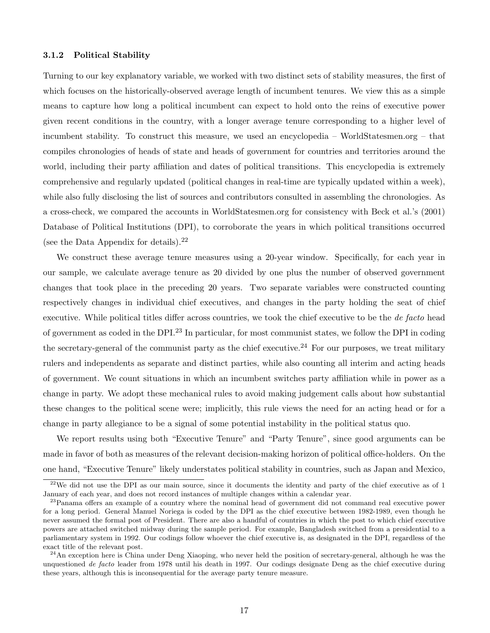#### 3.1.2 Political Stability

Turning to our key explanatory variable, we worked with two distinct sets of stability measures, the first of which focuses on the historically-observed average length of incumbent tenures. We view this as a simple means to capture how long a political incumbent can expect to hold onto the reins of executive power given recent conditions in the country, with a longer average tenure corresponding to a higher level of incumbent stability. To construct this measure, we used an encyclopedia – WorldStatesmen.org – that compiles chronologies of heads of state and heads of government for countries and territories around the world, including their party affiliation and dates of political transitions. This encyclopedia is extremely comprehensive and regularly updated (political changes in real-time are typically updated within a week), while also fully disclosing the list of sources and contributors consulted in assembling the chronologies. As a cross-check, we compared the accounts in WorldStatesmen.org for consistency with Beck et al.'s (2001) Database of Political Institutions (DPI), to corroborate the years in which political transitions occurred (see the Data Appendix for details). $^{22}$ 

We construct these average tenure measures using a 20-year window. Specifically, for each year in our sample, we calculate average tenure as 20 divided by one plus the number of observed government changes that took place in the preceding 20 years. Two separate variables were constructed counting respectively changes in individual chief executives, and changes in the party holding the seat of chief executive. While political titles differ across countries, we took the chief executive to be the de facto head of government as coded in the DPI.<sup>23</sup> In particular, for most communist states, we follow the DPI in coding the secretary-general of the communist party as the chief executive.<sup>24</sup> For our purposes, we treat military rulers and independents as separate and distinct parties, while also counting all interim and acting heads of government. We count situations in which an incumbent switches party affiliation while in power as a change in party. We adopt these mechanical rules to avoid making judgement calls about how substantial these changes to the political scene were; implicitly, this rule views the need for an acting head or for a change in party allegiance to be a signal of some potential instability in the political status quo.

We report results using both "Executive Tenure" and "Party Tenure", since good arguments can be made in favor of both as measures of the relevant decision-making horizon of political office-holders. On the one hand, "Executive Tenure" likely understates political stability in countries, such as Japan and Mexico,

 $22$ We did not use the DPI as our main source, since it documents the identity and party of the chief executive as of 1 January of each year, and does not record instances of multiple changes within a calendar year.

<sup>&</sup>lt;sup>23</sup>Panama offers an example of a country where the nominal head of government did not command real executive power for a long period. General Manuel Noriega is coded by the DPI as the chief executive between 1982-1989, even though he never assumed the formal post of President. There are also a handful of countries in which the post to which chief executive powers are attached switched midway during the sample period. For example, Bangladesh switched from a presidential to a parliamentary system in 1992. Our codings follow whoever the chief executive is, as designated in the DPI, regardless of the exact title of the relevant post.

 $^{24}$ An exception here is China under Deng Xiaoping, who never held the position of secretary-general, although he was the unquestioned de facto leader from 1978 until his death in 1997. Our codings designate Deng as the chief executive during these years, although this is inconsequential for the average party tenure measure.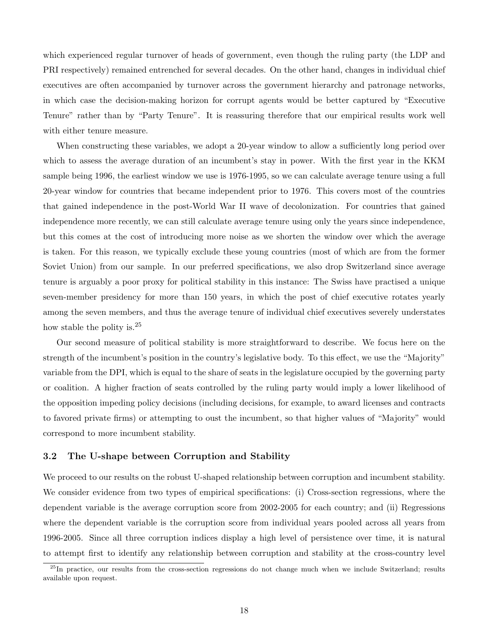which experienced regular turnover of heads of government, even though the ruling party (the LDP and PRI respectively) remained entrenched for several decades. On the other hand, changes in individual chief executives are often accompanied by turnover across the government hierarchy and patronage networks, in which case the decision-making horizon for corrupt agents would be better captured by "Executive Tenure" rather than by "Party Tenure". It is reassuring therefore that our empirical results work well with either tenure measure.

When constructing these variables, we adopt a 20-year window to allow a sufficiently long period over which to assess the average duration of an incumbent's stay in power. With the first year in the KKM sample being 1996, the earliest window we use is 1976-1995, so we can calculate average tenure using a full 20-year window for countries that became independent prior to 1976. This covers most of the countries that gained independence in the post-World War II wave of decolonization. For countries that gained independence more recently, we can still calculate average tenure using only the years since independence, but this comes at the cost of introducing more noise as we shorten the window over which the average is taken. For this reason, we typically exclude these young countries (most of which are from the former Soviet Union) from our sample. In our preferred specifications, we also drop Switzerland since average tenure is arguably a poor proxy for political stability in this instance: The Swiss have practised a unique seven-member presidency for more than 150 years, in which the post of chief executive rotates yearly among the seven members, and thus the average tenure of individual chief executives severely understates how stable the polity is.<sup>25</sup>

Our second measure of political stability is more straightforward to describe. We focus here on the strength of the incumbent's position in the country's legislative body. To this effect, we use the "Majority" variable from the DPI, which is equal to the share of seats in the legislature occupied by the governing party or coalition. A higher fraction of seats controlled by the ruling party would imply a lower likelihood of the opposition impeding policy decisions (including decisions, for example, to award licenses and contracts to favored private firms) or attempting to oust the incumbent, so that higher values of "Majority" would correspond to more incumbent stability.

# 3.2 The U-shape between Corruption and Stability

We proceed to our results on the robust U-shaped relationship between corruption and incumbent stability. We consider evidence from two types of empirical specifications: (i) Cross-section regressions, where the dependent variable is the average corruption score from 2002-2005 for each country; and (ii) Regressions where the dependent variable is the corruption score from individual years pooled across all years from 1996-2005. Since all three corruption indices display a high level of persistence over time, it is natural to attempt first to identify any relationship between corruption and stability at the cross-country level

<sup>&</sup>lt;sup>25</sup>In practice, our results from the cross-section regressions do not change much when we include Switzerland; results available upon request.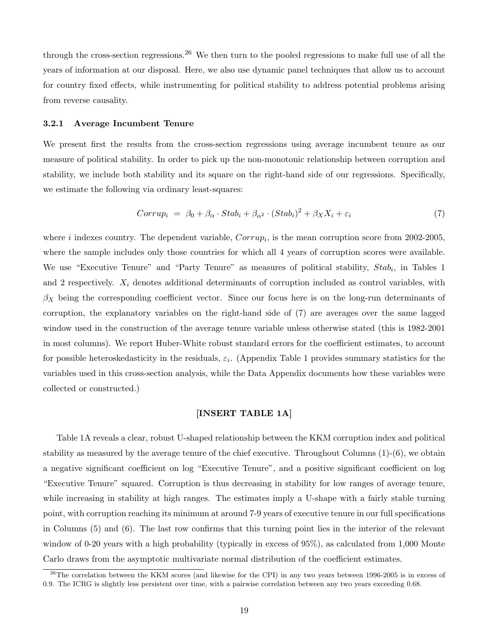through the cross-section regressions.<sup>26</sup> We then turn to the pooled regressions to make full use of all the years of information at our disposal. Here, we also use dynamic panel techniques that allow us to account for country fixed effects, while instrumenting for political stability to address potential problems arising from reverse causality.

#### 3.2.1 Average Incumbent Tenure

We present first the results from the cross-section regressions using average incumbent tenure as our measure of political stability. In order to pick up the non-monotonic relationship between corruption and stability, we include both stability and its square on the right-hand side of our regressions. Specifically, we estimate the following via ordinary least-squares:

$$
Corrup_i = \beta_0 + \beta_\alpha \cdot Stab_i + \beta_{\alpha^2} \cdot (Stab_i)^2 + \beta_X X_i + \varepsilon_i \tag{7}
$$

where *i* indexes country. The dependent variable,  $Corrup<sub>i</sub>$ , is the mean corruption score from 2002-2005, where the sample includes only those countries for which all 4 years of corruption scores were available. We use "Executive Tenure" and "Party Tenure" as measures of political stability,  $Stab_i$ , in Tables 1 and 2 respectively.  $X_i$  denotes additional determinants of corruption included as control variables, with  $\beta_X$  being the corresponding coefficient vector. Since our focus here is on the long-run determinants of corruption, the explanatory variables on the right-hand side of (7) are averages over the same lagged window used in the construction of the average tenure variable unless otherwise stated (this is 1982-2001 in most columns). We report Huber-White robust standard errors for the coefficient estimates, to account for possible heteroskedasticity in the residuals,  $\varepsilon_i$ . (Appendix Table 1 provides summary statistics for the variables used in this cross-section analysis, while the Data Appendix documents how these variables were collected or constructed.)

## [INSERT TABLE 1A]

Table 1A reveals a clear, robust U-shaped relationship between the KKM corruption index and political stability as measured by the average tenure of the chief executive. Throughout Columns (1)-(6), we obtain a negative significant coefficient on log "Executive Tenure", and a positive significant coefficient on log "Executive Tenure" squared. Corruption is thus decreasing in stability for low ranges of average tenure, while increasing in stability at high ranges. The estimates imply a U-shape with a fairly stable turning point, with corruption reaching its minimum at around 7-9 years of executive tenure in our full specifications in Columns (5) and (6). The last row confirms that this turning point lies in the interior of the relevant window of 0-20 years with a high probability (typically in excess of  $95\%$ ), as calculated from 1,000 Monte Carlo draws from the asymptotic multivariate normal distribution of the coefficient estimates.

 $^{26}$ The correlation between the KKM scores (and likewise for the CPI) in any two years between 1996-2005 is in excess of 0.9. The ICRG is slightly less persistent over time, with a pairwise correlation between any two years exceeding 0.68.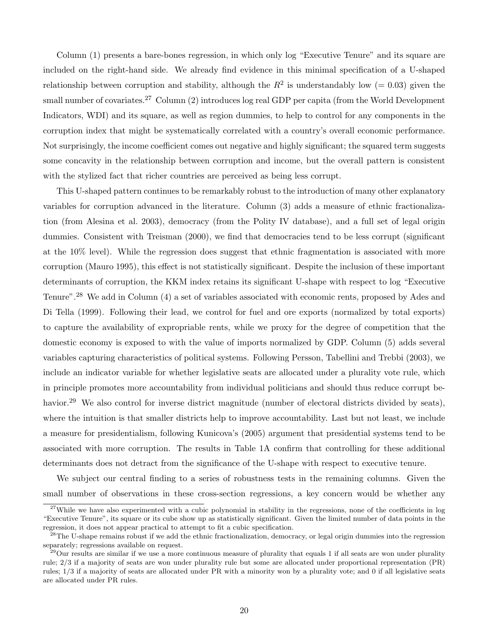Column (1) presents a bare-bones regression, in which only log "Executive Tenure" and its square are included on the right-hand side. We already find evidence in this minimal specification of a U-shaped relationship between corruption and stability, although the  $R^2$  is understandably low (= 0.03) given the small number of covariates.<sup>27</sup> Column (2) introduces log real GDP per capita (from the World Development Indicators, WDI) and its square, as well as region dummies, to help to control for any components in the corruption index that might be systematically correlated with a country's overall economic performance. Not surprisingly, the income coefficient comes out negative and highly significant; the squared term suggests some concavity in the relationship between corruption and income, but the overall pattern is consistent with the stylized fact that richer countries are perceived as being less corrupt.

This U-shaped pattern continues to be remarkably robust to the introduction of many other explanatory variables for corruption advanced in the literature. Column (3) adds a measure of ethnic fractionalization (from Alesina et al. 2003), democracy (from the Polity IV database), and a full set of legal origin dummies. Consistent with Treisman (2000), we find that democracies tend to be less corrupt (significant at the 10% level). While the regression does suggest that ethnic fragmentation is associated with more corruption (Mauro 1995), this effect is not statistically significant. Despite the inclusion of these important determinants of corruption, the KKM index retains its significant U-shape with respect to log "Executive Tenure".<sup>28</sup> We add in Column (4) a set of variables associated with economic rents, proposed by Ades and Di Tella (1999). Following their lead, we control for fuel and ore exports (normalized by total exports) to capture the availability of expropriable rents, while we proxy for the degree of competition that the domestic economy is exposed to with the value of imports normalized by GDP. Column (5) adds several variables capturing characteristics of political systems. Following Persson, Tabellini and Trebbi (2003), we include an indicator variable for whether legislative seats are allocated under a plurality vote rule, which in principle promotes more accountability from individual politicians and should thus reduce corrupt behavior.<sup>29</sup> We also control for inverse district magnitude (number of electoral districts divided by seats), where the intuition is that smaller districts help to improve accountability. Last but not least, we include a measure for presidentialism, following Kunicova's (2005) argument that presidential systems tend to be associated with more corruption. The results in Table 1A confirm that controlling for these additional determinants does not detract from the significance of the U-shape with respect to executive tenure.

We subject our central finding to a series of robustness tests in the remaining columns. Given the small number of observations in these cross-section regressions, a key concern would be whether any

 $27$ While we have also experimented with a cubic polynomial in stability in the regressions, none of the coefficients in log "Executive Tenure", its square or its cube show up as statistically significant. Given the limited number of data points in the regression, it does not appear practical to attempt to fit a cubic specification.

 $^{28}$ The U-shape remains robust if we add the ethnic fractionalization, democracy, or legal origin dummies into the regression separately; regressions available on request.

 $29$ Our results are similar if we use a more continuous measure of plurality that equals 1 if all seats are won under plurality rule; 2/3 if a majority of seats are won under plurality rule but some are allocated under proportional representation (PR) rules; 1/3 if a majority of seats are allocated under PR with a minority won by a plurality vote; and 0 if all legislative seats are allocated under PR rules.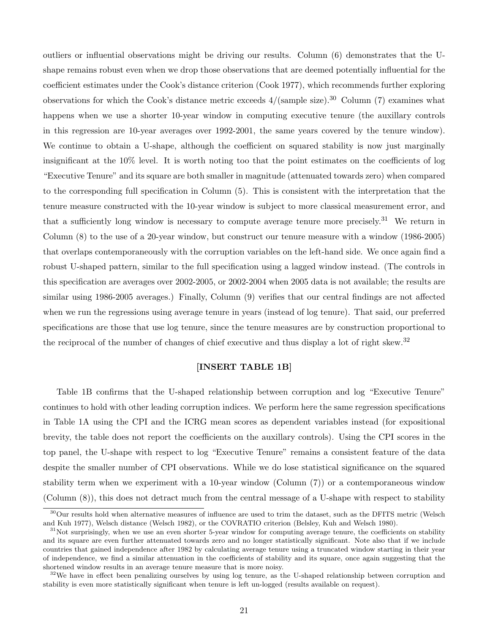outliers or influential observations might be driving our results. Column (6) demonstrates that the Ushape remains robust even when we drop those observations that are deemed potentially influential for the coefficient estimates under the Cook's distance criterion (Cook 1977), which recommends further exploring observations for which the Cook's distance metric exceeds  $4/(\text{sample size})$ .<sup>30</sup> Column (7) examines what happens when we use a shorter 10-year window in computing executive tenure (the auxillary controls in this regression are 10-year averages over 1992-2001, the same years covered by the tenure window). We continue to obtain a U-shape, although the coefficient on squared stability is now just marginally insignificant at the 10% level. It is worth noting too that the point estimates on the coefficients of log "Executive Tenure" and its square are both smaller in magnitude (attenuated towards zero) when compared to the corresponding full specification in Column (5). This is consistent with the interpretation that the tenure measure constructed with the 10-year window is subject to more classical measurement error, and that a sufficiently long window is necessary to compute average tenure more precisely.<sup>31</sup> We return in Column (8) to the use of a 20-year window, but construct our tenure measure with a window (1986-2005) that overlaps contemporaneously with the corruption variables on the left-hand side. We once again find a robust U-shaped pattern, similar to the full specification using a lagged window instead. (The controls in this specification are averages over 2002-2005, or 2002-2004 when 2005 data is not available; the results are similar using 1986-2005 averages.) Finally, Column (9) verifies that our central findings are not affected when we run the regressions using average tenure in years (instead of log tenure). That said, our preferred specifications are those that use log tenure, since the tenure measures are by construction proportional to the reciprocal of the number of changes of chief executive and thus display a lot of right skew.<sup>32</sup>

# [INSERT TABLE 1B]

Table 1B confirms that the U-shaped relationship between corruption and log "Executive Tenure" continues to hold with other leading corruption indices. We perform here the same regression specifications in Table 1A using the CPI and the ICRG mean scores as dependent variables instead (for expositional brevity, the table does not report the coefficients on the auxillary controls). Using the CPI scores in the top panel, the U-shape with respect to log "Executive Tenure" remains a consistent feature of the data despite the smaller number of CPI observations. While we do lose statistical significance on the squared stability term when we experiment with a 10-year window (Column (7)) or a contemporaneous window (Column (8)), this does not detract much from the central message of a U-shape with respect to stability

 $30$ Our results hold when alternative measures of influence are used to trim the dataset, such as the DFITS metric (Welsch and Kuh 1977), Welsch distance (Welsch 1982), or the COVRATIO criterion (Belsley, Kuh and Welsch 1980).

 $31$ Not surprisingly, when we use an even shorter 5-year window for computing average tenure, the coefficients on stability and its square are even further attenuated towards zero and no longer statistically significant. Note also that if we include countries that gained independence after 1982 by calculating average tenure using a truncated window starting in their year of independence, we find a similar attenuation in the coefficients of stability and its square, once again suggesting that the shortened window results in an average tenure measure that is more noisy.

 $32\text{We have in effect been penalizing ourselves by using log tenure, as the U-shaped relationship between corruption and$ stability is even more statistically significant when tenure is left un-logged (results available on request).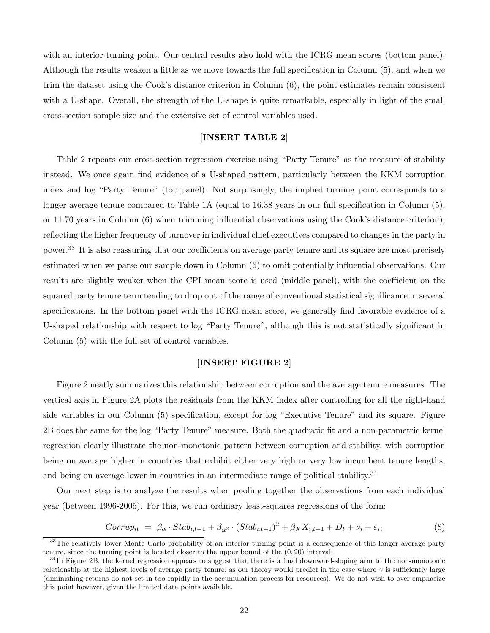with an interior turning point. Our central results also hold with the ICRG mean scores (bottom panel). Although the results weaken a little as we move towards the full specification in Column (5), and when we trim the dataset using the Cook's distance criterion in Column (6), the point estimates remain consistent with a U-shape. Overall, the strength of the U-shape is quite remarkable, especially in light of the small cross-section sample size and the extensive set of control variables used.

# [INSERT TABLE 2]

Table 2 repeats our cross-section regression exercise using "Party Tenure" as the measure of stability instead. We once again find evidence of a U-shaped pattern, particularly between the KKM corruption index and log "Party Tenure" (top panel). Not surprisingly, the implied turning point corresponds to a longer average tenure compared to Table 1A (equal to 16.38 years in our full specification in Column (5), or 11.70 years in Column (6) when trimming influential observations using the Cook's distance criterion), reflecting the higher frequency of turnover in individual chief executives compared to changes in the party in power.<sup>33</sup> It is also reassuring that our coefficients on average party tenure and its square are most precisely estimated when we parse our sample down in Column (6) to omit potentially influential observations. Our results are slightly weaker when the CPI mean score is used (middle panel), with the coefficient on the squared party tenure term tending to drop out of the range of conventional statistical significance in several specifications. In the bottom panel with the ICRG mean score, we generally find favorable evidence of a U-shaped relationship with respect to log "Party Tenure", although this is not statistically significant in Column (5) with the full set of control variables.

## [INSERT FIGURE 2]

Figure 2 neatly summarizes this relationship between corruption and the average tenure measures. The vertical axis in Figure 2A plots the residuals from the KKM index after controlling for all the right-hand side variables in our Column (5) specification, except for log "Executive Tenure" and its square. Figure 2B does the same for the log "Party Tenure" measure. Both the quadratic fit and a non-parametric kernel regression clearly illustrate the non-monotonic pattern between corruption and stability, with corruption being on average higher in countries that exhibit either very high or very low incumbent tenure lengths, and being on average lower in countries in an intermediate range of political stability.<sup>34</sup>

Our next step is to analyze the results when pooling together the observations from each individual year (between 1996-2005). For this, we run ordinary least-squares regressions of the form:

$$
Corrup_{it} = \beta_{\alpha} \cdot Stab_{i,t-1} + \beta_{\alpha^2} \cdot (Stab_{i,t-1})^2 + \beta_X X_{i,t-1} + D_t + \nu_i + \varepsilon_{it}
$$
\n
$$
\tag{8}
$$

<sup>&</sup>lt;sup>33</sup>The relatively lower Monte Carlo probability of an interior turning point is a consequence of this longer average party tenure, since the turning point is located closer to the upper bound of the (0, 20) interval.

 $34$ In Figure 2B, the kernel regression appears to suggest that there is a final downward-sloping arm to the non-monotonic relationship at the highest levels of average party tenure, as our theory would predict in the case where  $\gamma$  is sufficiently large (diminishing returns do not set in too rapidly in the accumulation process for resources). We do not wish to over-emphasize this point however, given the limited data points available.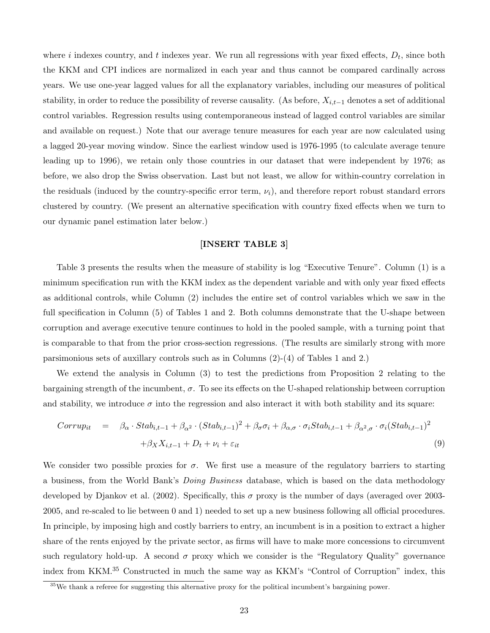where i indexes country, and t indexes year. We run all regressions with year fixed effects,  $D_t$ , since both the KKM and CPI indices are normalized in each year and thus cannot be compared cardinally across years. We use one-year lagged values for all the explanatory variables, including our measures of political stability, in order to reduce the possibility of reverse causality. (As before,  $X_{i,t-1}$  denotes a set of additional control variables. Regression results using contemporaneous instead of lagged control variables are similar and available on request.) Note that our average tenure measures for each year are now calculated using a lagged 20-year moving window. Since the earliest window used is 1976-1995 (to calculate average tenure leading up to 1996), we retain only those countries in our dataset that were independent by 1976; as before, we also drop the Swiss observation. Last but not least, we allow for within-country correlation in the residuals (induced by the country-specific error term,  $\nu_i$ ), and therefore report robust standard errors clustered by country. (We present an alternative specification with country fixed effects when we turn to our dynamic panel estimation later below.)

# [INSERT TABLE 3]

Table 3 presents the results when the measure of stability is log "Executive Tenure". Column (1) is a minimum specification run with the KKM index as the dependent variable and with only year fixed effects as additional controls, while Column (2) includes the entire set of control variables which we saw in the full specification in Column (5) of Tables 1 and 2. Both columns demonstrate that the U-shape between corruption and average executive tenure continues to hold in the pooled sample, with a turning point that is comparable to that from the prior cross-section regressions. (The results are similarly strong with more parsimonious sets of auxillary controls such as in Columns (2)-(4) of Tables 1 and 2.)

We extend the analysis in Column (3) to test the predictions from Proposition 2 relating to the bargaining strength of the incumbent,  $\sigma$ . To see its effects on the U-shaped relationship between corruption and stability, we introduce  $\sigma$  into the regression and also interact it with both stability and its square:

$$
Corrup_{it} = \beta_{\alpha} \cdot Stab_{i,t-1} + \beta_{\alpha^2} \cdot (Stab_{i,t-1})^2 + \beta_{\sigma}\sigma_i + \beta_{\alpha,\sigma} \cdot \sigma_i Stab_{i,t-1} + \beta_{\alpha^2,\sigma} \cdot \sigma_i (Stab_{i,t-1})^2
$$
  
+  $\beta_X X_{i,t-1} + D_t + \nu_i + \varepsilon_{it}$  (9)

We consider two possible proxies for  $\sigma$ . We first use a measure of the regulatory barriers to starting a business, from the World Bank's Doing Business database, which is based on the data methodology developed by Djankov et al. (2002). Specifically, this  $\sigma$  proxy is the number of days (averaged over 2003-2005, and re-scaled to lie between 0 and 1) needed to set up a new business following all official procedures. In principle, by imposing high and costly barriers to entry, an incumbent is in a position to extract a higher share of the rents enjoyed by the private sector, as firms will have to make more concessions to circumvent such regulatory hold-up. A second  $\sigma$  proxy which we consider is the "Regulatory Quality" governance index from KKM.<sup>35</sup> Constructed in much the same way as KKM's "Control of Corruption" index, this

 $35$ We thank a referee for suggesting this alternative proxy for the political incumbent's bargaining power.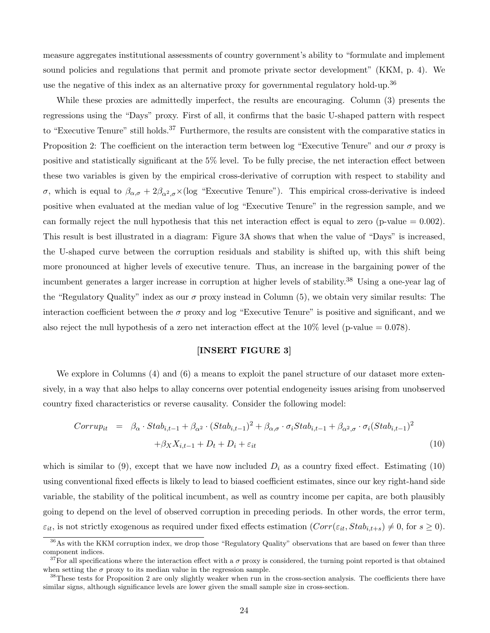measure aggregates institutional assessments of country government's ability to "formulate and implement sound policies and regulations that permit and promote private sector development" (KKM, p. 4). We use the negative of this index as an alternative proxy for governmental regulatory hold-up.<sup>36</sup>

While these proxies are admittedly imperfect, the results are encouraging. Column (3) presents the regressions using the "Days" proxy. First of all, it confirms that the basic U-shaped pattern with respect to "Executive Tenure" still holds.<sup>37</sup> Furthermore, the results are consistent with the comparative statics in Proposition 2: The coefficient on the interaction term between log "Executive Tenure" and our  $\sigma$  proxy is positive and statistically significant at the 5% level. To be fully precise, the net interaction effect between these two variables is given by the empirical cross-derivative of corruption with respect to stability and σ, which is equal to  $β_{α,σ} + 2β_{α^2,σ} × (log "Execute Tenure").$  This empirical cross-derivative is indeed positive when evaluated at the median value of log "Executive Tenure" in the regression sample, and we can formally reject the null hypothesis that this net interaction effect is equal to zero (p-value  $= 0.002$ ). This result is best illustrated in a diagram: Figure 3A shows that when the value of "Days" is increased, the U-shaped curve between the corruption residuals and stability is shifted up, with this shift being more pronounced at higher levels of executive tenure. Thus, an increase in the bargaining power of the incumbent generates a larger increase in corruption at higher levels of stability.<sup>38</sup> Using a one-year lag of the "Regulatory Quality" index as our  $\sigma$  proxy instead in Column (5), we obtain very similar results: The interaction coefficient between the  $\sigma$  proxy and log "Executive Tenure" is positive and significant, and we also reject the null hypothesis of a zero net interaction effect at the  $10\%$  level (p-value = 0.078).

## [INSERT FIGURE 3]

We explore in Columns (4) and (6) a means to exploit the panel structure of our dataset more extensively, in a way that also helps to allay concerns over potential endogeneity issues arising from unobserved country fixed characteristics or reverse causality. Consider the following model:

$$
Corrup_{it} = \beta_{\alpha} \cdot Stab_{i,t-1} + \beta_{\alpha^2} \cdot (Stab_{i,t-1})^2 + \beta_{\alpha,\sigma} \cdot \sigma_i Stab_{i,t-1} + \beta_{\alpha^2,\sigma} \cdot \sigma_i (Stab_{i,t-1})^2
$$

$$
+ \beta_X X_{i,t-1} + D_t + D_i + \varepsilon_{it}
$$
(10)

which is similar to (9), except that we have now included  $D_i$  as a country fixed effect. Estimating (10) using conventional fixed effects is likely to lead to biased coefficient estimates, since our key right-hand side variable, the stability of the political incumbent, as well as country income per capita, are both plausibly going to depend on the level of observed corruption in preceding periods. In other words, the error term,  $\varepsilon_{it}$ , is not strictly exogenous as required under fixed effects estimation  $(Corr(\varepsilon_{it}, Stab_{i,t+s}) \neq 0$ , for  $s \geq 0$ ).

<sup>&</sup>lt;sup>36</sup>As with the KKM corruption index, we drop those "Regulatory Quality" observations that are based on fewer than three component indices.

<sup>&</sup>lt;sup>37</sup>For all specifications where the interaction effect with a  $\sigma$  proxy is considered, the turning point reported is that obtained when setting the  $\sigma$  proxy to its median value in the regression sample.

 $38$ These tests for Proposition 2 are only slightly weaker when run in the cross-section analysis. The coefficients there have similar signs, although significance levels are lower given the small sample size in cross-section.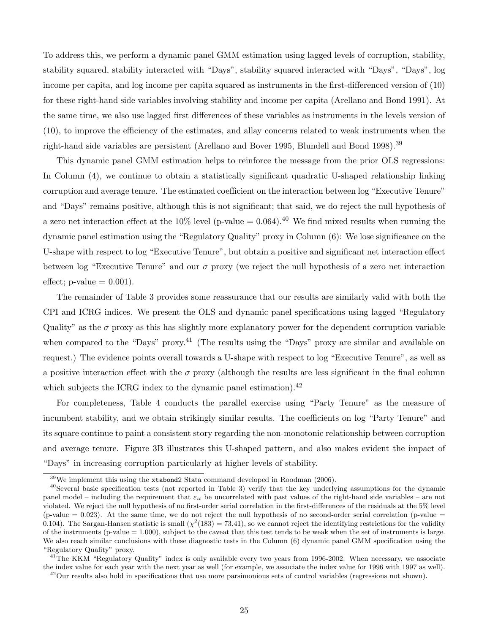To address this, we perform a dynamic panel GMM estimation using lagged levels of corruption, stability, stability squared, stability interacted with "Days", stability squared interacted with "Days", "Days", log income per capita, and log income per capita squared as instruments in the first-differenced version of (10) for these right-hand side variables involving stability and income per capita (Arellano and Bond 1991). At the same time, we also use lagged first differences of these variables as instruments in the levels version of (10), to improve the efficiency of the estimates, and allay concerns related to weak instruments when the right-hand side variables are persistent (Arellano and Bover 1995, Blundell and Bond 1998).<sup>39</sup>

This dynamic panel GMM estimation helps to reinforce the message from the prior OLS regressions: In Column (4), we continue to obtain a statistically significant quadratic U-shaped relationship linking corruption and average tenure. The estimated coefficient on the interaction between log "Executive Tenure" and "Days" remains positive, although this is not significant; that said, we do reject the null hypothesis of a zero net interaction effect at the 10% level (p-value =  $0.064$ ).<sup>40</sup> We find mixed results when running the dynamic panel estimation using the "Regulatory Quality" proxy in Column (6): We lose significance on the U-shape with respect to log "Executive Tenure", but obtain a positive and significant net interaction effect between log "Executive Tenure" and our  $\sigma$  proxy (we reject the null hypothesis of a zero net interaction effect; p-value  $= 0.001$ ).

The remainder of Table 3 provides some reassurance that our results are similarly valid with both the CPI and ICRG indices. We present the OLS and dynamic panel specifications using lagged "Regulatory Quality" as the  $\sigma$  proxy as this has slightly more explanatory power for the dependent corruption variable when compared to the "Days" proxy.<sup>41</sup> (The results using the "Days" proxy are similar and available on request.) The evidence points overall towards a U-shape with respect to log "Executive Tenure", as well as a positive interaction effect with the  $\sigma$  proxy (although the results are less significant in the final column which subjects the ICRG index to the dynamic panel estimation).<sup>42</sup>

For completeness, Table 4 conducts the parallel exercise using "Party Tenure" as the measure of incumbent stability, and we obtain strikingly similar results. The coefficients on log "Party Tenure" and its square continue to paint a consistent story regarding the non-monotonic relationship between corruption and average tenure. Figure 3B illustrates this U-shaped pattern, and also makes evident the impact of "Days" in increasing corruption particularly at higher levels of stability.

<sup>39</sup>We implement this using the xtabond2 Stata command developed in Roodman (2006).

 $^{40}$ Several basic specification tests (not reported in Table 3) verify that the key underlying assumptions for the dynamic panel model – including the requirement that  $\varepsilon_{it}$  be uncorrelated with past values of the right-hand side variables – are not violated. We reject the null hypothesis of no first-order serial correlation in the first-differences of the residuals at the 5% level (p-value  $= 0.023$ ). At the same time, we do not reject the null hypothesis of no second-order serial correlation (p-value  $=$ 0.104). The Sargan-Hansen statistic is small  $(\chi^2(183) = 73.41)$ , so we cannot reject the identifying restrictions for the validity of the instruments (p-value  $= 1.000$ ), subject to the caveat that this test tends to be weak when the set of instruments is large. We also reach similar conclusions with these diagnostic tests in the Column (6) dynamic panel GMM specification using the "Regulatory Quality" proxy.

<sup>&</sup>lt;sup>41</sup>The KKM "Regulatory Quality" index is only available every two years from 1996-2002. When necessary, we associate the index value for each year with the next year as well (for example, we associate the index value for 1996 with 1997 as well).

 $^{42}$ Our results also hold in specifications that use more parsimonious sets of control variables (regressions not shown).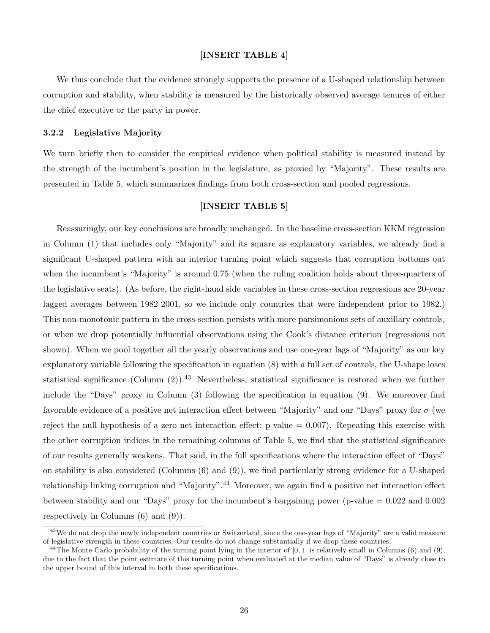# [INSERT TABLE 4]

We thus conclude that the evidence strongly supports the presence of a U-shaped relationship between corruption and stability, when stability is measured by the historically observed average tenures of either the chief executive or the party in power.

#### 3.2.2 Legislative Majority

We turn briefly then to consider the empirical evidence when political stability is measured instead by the strength of the incumbent's position in the legislature, as proxied by "Majority". These results are presented in Table 5, which summarizes findings from both cross-section and pooled regressions.

# [INSERT TABLE 5]

Reassuringly, our key conclusions are broadly unchanged. In the baseline cross-section KKM regression in Column (1) that includes only "Majority" and its square as explanatory variables, we already find a significant U-shaped pattern with an interior turning point which suggests that corruption bottoms out when the incumbent's "Majority" is around 0.75 (when the ruling coalition holds about three-quarters of the legislative seats). (As before, the right-hand side variables in these cross-section regressions are 20-year lagged averages between 1982-2001, so we include only countries that were independent prior to 1982.) This non-monotonic pattern in the cross-section persists with more parsimonious sets of auxillary controls, or when we drop potentially influential observations using the Cook's distance criterion (regressions not shown). When we pool together all the yearly observations and use one-year lags of "Majority" as our key explanatory variable following the specification in equation (8) with a full set of controls, the U-shape loses statistical significance (Column  $(2)$ ).<sup>43</sup> Nevertheless, statistical significance is restored when we further include the "Days" proxy in Column (3) following the specification in equation (9). We moreover find favorable evidence of a positive net interaction effect between "Majority" and our "Days" proxy for  $\sigma$  (we reject the null hypothesis of a zero net interaction effect;  $p$ -value  $= 0.007$ ). Repeating this exercise with the other corruption indices in the remaining columns of Table 5, we find that the statistical significance of our results generally weakens. That said, in the full specifications where the interaction effect of "Days" on stability is also considered (Columns (6) and (9)), we find particularly strong evidence for a U-shaped relationship linking corruption and "Majority".<sup>44</sup> Moreover, we again find a positive net interaction effect between stability and our "Days" proxy for the incumbent's bargaining power (p-value  $= 0.022$  and 0.002 respectively in Columns (6) and (9)).

<sup>&</sup>lt;sup>43</sup>We do not drop the newly independent countries or Switzerland, since the one-year lags of "Majority" are a valid measure of legislative strength in these countries. Our results do not change substantially if we drop these countries.

 $^{44}$ The Monte Carlo probability of the turning point lying in the interior of  $[0, 1]$  is relatively small in Columns  $(6)$  and  $(9)$ , due to the fact that the point estimate of this turning point when evaluated at the median value of "Days" is already close to the upper bound of this interval in both these specifications.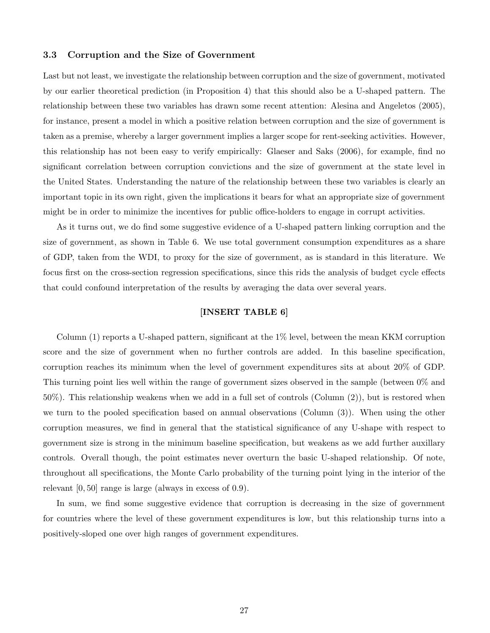# 3.3 Corruption and the Size of Government

Last but not least, we investigate the relationship between corruption and the size of government, motivated by our earlier theoretical prediction (in Proposition 4) that this should also be a U-shaped pattern. The relationship between these two variables has drawn some recent attention: Alesina and Angeletos (2005), for instance, present a model in which a positive relation between corruption and the size of government is taken as a premise, whereby a larger government implies a larger scope for rent-seeking activities. However, this relationship has not been easy to verify empirically: Glaeser and Saks (2006), for example, find no significant correlation between corruption convictions and the size of government at the state level in the United States. Understanding the nature of the relationship between these two variables is clearly an important topic in its own right, given the implications it bears for what an appropriate size of government might be in order to minimize the incentives for public office-holders to engage in corrupt activities.

As it turns out, we do find some suggestive evidence of a U-shaped pattern linking corruption and the size of government, as shown in Table 6. We use total government consumption expenditures as a share of GDP, taken from the WDI, to proxy for the size of government, as is standard in this literature. We focus first on the cross-section regression specifications, since this rids the analysis of budget cycle effects that could confound interpretation of the results by averaging the data over several years.

# [INSERT TABLE 6]

Column (1) reports a U-shaped pattern, significant at the 1% level, between the mean KKM corruption score and the size of government when no further controls are added. In this baseline specification, corruption reaches its minimum when the level of government expenditures sits at about 20% of GDP. This turning point lies well within the range of government sizes observed in the sample (between 0% and 50%). This relationship weakens when we add in a full set of controls (Column (2)), but is restored when we turn to the pooled specification based on annual observations (Column (3)). When using the other corruption measures, we find in general that the statistical significance of any U-shape with respect to government size is strong in the minimum baseline specification, but weakens as we add further auxillary controls. Overall though, the point estimates never overturn the basic U-shaped relationship. Of note, throughout all specifications, the Monte Carlo probability of the turning point lying in the interior of the relevant [0, 50] range is large (always in excess of 0.9).

In sum, we find some suggestive evidence that corruption is decreasing in the size of government for countries where the level of these government expenditures is low, but this relationship turns into a positively-sloped one over high ranges of government expenditures.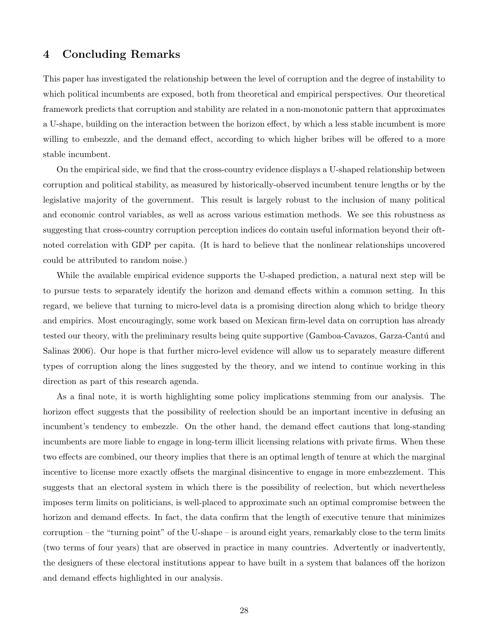# 4 Concluding Remarks

This paper has investigated the relationship between the level of corruption and the degree of instability to which political incumbents are exposed, both from theoretical and empirical perspectives. Our theoretical framework predicts that corruption and stability are related in a non-monotonic pattern that approximates a U-shape, building on the interaction between the horizon effect, by which a less stable incumbent is more willing to embezzle, and the demand effect, according to which higher bribes will be offered to a more stable incumbent.

On the empirical side, we find that the cross-country evidence displays a U-shaped relationship between corruption and political stability, as measured by historically-observed incumbent tenure lengths or by the legislative majority of the government. This result is largely robust to the inclusion of many political and economic control variables, as well as across various estimation methods. We see this robustness as suggesting that cross-country corruption perception indices do contain useful information beyond their oftnoted correlation with GDP per capita. (It is hard to believe that the nonlinear relationships uncovered could be attributed to random noise.)

While the available empirical evidence supports the U-shaped prediction, a natural next step will be to pursue tests to separately identify the horizon and demand effects within a common setting. In this regard, we believe that turning to micro-level data is a promising direction along which to bridge theory and empirics. Most encouragingly, some work based on Mexican firm-level data on corruption has already tested our theory, with the preliminary results being quite supportive (Gamboa-Cavazos, Garza-Cantú and Salinas 2006). Our hope is that further micro-level evidence will allow us to separately measure different types of corruption along the lines suggested by the theory, and we intend to continue working in this direction as part of this research agenda.

As a final note, it is worth highlighting some policy implications stemming from our analysis. The horizon effect suggests that the possibility of reelection should be an important incentive in defusing an incumbent's tendency to embezzle. On the other hand, the demand effect cautions that long-standing incumbents are more liable to engage in long-term illicit licensing relations with private firms. When these two effects are combined, our theory implies that there is an optimal length of tenure at which the marginal incentive to license more exactly offsets the marginal disincentive to engage in more embezzlement. This suggests that an electoral system in which there is the possibility of reelection, but which nevertheless imposes term limits on politicians, is well-placed to approximate such an optimal compromise between the horizon and demand effects. In fact, the data confirm that the length of executive tenure that minimizes corruption – the "turning point" of the U-shape – is around eight years, remarkably close to the term limits (two terms of four years) that are observed in practice in many countries. Advertently or inadvertently, the designers of these electoral institutions appear to have built in a system that balances off the horizon and demand effects highlighted in our analysis.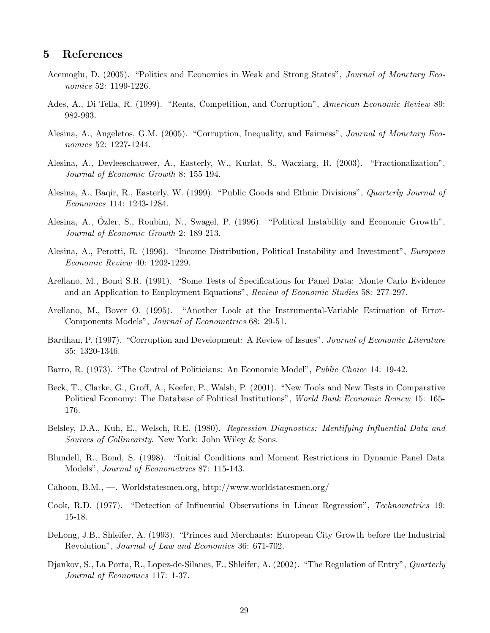# 5 References

- Acemoglu, D. (2005). "Politics and Economics in Weak and Strong States", Journal of Monetary Economics 52: 1199-1226.
- Ades, A., Di Tella, R. (1999). "Rents, Competition, and Corruption", American Economic Review 89: 982-993.
- Alesina, A., Angeletos, G.M. (2005). "Corruption, Inequality, and Fairness", *Journal of Monetary Eco*nomics 52: 1227-1244.
- Alesina, A., Devleeschauwer, A., Easterly, W., Kurlat, S., Wacziarg, R. (2003). "Fractionalization", Journal of Economic Growth 8: 155-194.
- Alesina, A., Baqir, R., Easterly, W. (1999). "Public Goods and Ethnic Divisions", Quarterly Journal of Economics 114: 1243-1284.
- Alesina, A., Özler, S., Roubini, N., Swagel, P. (1996). "Political Instability and Economic Growth", Journal of Economic Growth 2: 189-213.
- Alesina, A., Perotti, R. (1996). "Income Distribution, Political Instability and Investment", European Economic Review 40: 1202-1229.
- Arellano, M., Bond S.R. (1991). "Some Tests of Specifications for Panel Data: Monte Carlo Evidence and an Application to Employment Equations", Review of Economic Studies 58: 277-297.
- Arellano, M., Bover O. (1995). "Another Look at the Instrumental-Variable Estimation of Error-Components Models", Journal of Econometrics 68: 29-51.
- Bardhan, P. (1997). "Corruption and Development: A Review of Issues", Journal of Economic Literature 35: 1320-1346.
- Barro, R. (1973). "The Control of Politicians: An Economic Model", Public Choice 14: 19-42.
- Beck, T., Clarke, G., Groff, A., Keefer, P., Walsh, P. (2001). "New Tools and New Tests in Comparative Political Economy: The Database of Political Institutions", World Bank Economic Review 15: 165-176.
- Belsley, D.A., Kuh, E., Welsch, R.E. (1980). Regression Diagnostics: Identifying Influential Data and Sources of Collinearity. New York: John Wiley & Sons.
- Blundell, R., Bond, S. (1998). "Initial Conditions and Moment Restrictions in Dynamic Panel Data Models", Journal of Econometrics 87: 115-143.
- Cahoon, B.M., —. Worldstatesmen.org, http://www.worldstatesmen.org/
- Cook, R.D. (1977). "Detection of Influential Observations in Linear Regression", Technometrics 19: 15-18.
- DeLong, J.B., Shleifer, A. (1993). "Princes and Merchants: European City Growth before the Industrial Revolution", Journal of Law and Economics 36: 671-702.
- Djankov, S., La Porta, R., Lopez-de-Silanes, F., Shleifer, A. (2002). "The Regulation of Entry", *Quarterly* Journal of Economics 117: 1-37.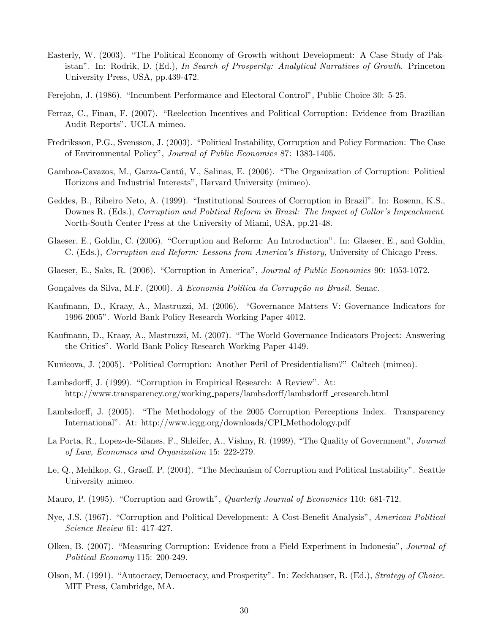- Easterly, W. (2003). "The Political Economy of Growth without Development: A Case Study of Pakistan". In: Rodrik, D. (Ed.), In Search of Prosperity: Analytical Narratives of Growth. Princeton University Press, USA, pp.439-472.
- Ferejohn, J. (1986). "Incumbent Performance and Electoral Control", Public Choice 30: 5-25.
- Ferraz, C., Finan, F. (2007). "Reelection Incentives and Political Corruption: Evidence from Brazilian Audit Reports". UCLA mimeo.
- Fredriksson, P.G., Svensson, J. (2003). "Political Instability, Corruption and Policy Formation: The Case of Environmental Policy", Journal of Public Economics 87: 1383-1405.
- Gamboa-Cavazos, M., Garza-Cantú, V., Salinas, E. (2006). "The Organization of Corruption: Political Horizons and Industrial Interests", Harvard University (mimeo).
- Geddes, B., Ribeiro Neto, A. (1999). "Institutional Sources of Corruption in Brazil". In: Rosenn, K.S., Downes R. (Eds.), Corruption and Political Reform in Brazil: The Impact of Collor's Impeachment. North-South Center Press at the University of Miami, USA, pp.21-48.
- Glaeser, E., Goldin, C. (2006). "Corruption and Reform: An Introduction". In: Glaeser, E., and Goldin, C. (Eds.), Corruption and Reform: Lessons from America's History, University of Chicago Press.
- Glaeser, E., Saks, R. (2006). "Corruption in America", *Journal of Public Economics* 90: 1053-1072.
- Gonçalves da Silva, M.F. (2000). A Economia Política da Corrupção no Brasil. Senac.
- Kaufmann, D., Kraay, A., Mastruzzi, M. (2006). "Governance Matters V: Governance Indicators for 1996-2005". World Bank Policy Research Working Paper 4012.
- Kaufmann, D., Kraay, A., Mastruzzi, M. (2007). "The World Governance Indicators Project: Answering the Critics". World Bank Policy Research Working Paper 4149.
- Kunicova, J. (2005). "Political Corruption: Another Peril of Presidentialism?" Caltech (mimeo).
- Lambsdorff, J. (1999). "Corruption in Empirical Research: A Review". At: http://www.transparency.org/working\_papers/lambsdorff/lambsdorff eresearch.html
- Lambsdorff, J. (2005). "The Methodology of the 2005 Corruption Perceptions Index. Transparency International". At: http://www.icgg.org/downloads/CPI Methodology.pdf
- La Porta, R., Lopez-de-Silanes, F., Shleifer, A., Vishny, R. (1999), "The Quality of Government", Journal of Law, Economics and Organization 15: 222-279.
- Le, Q., Mehlkop, G., Graeff, P. (2004). "The Mechanism of Corruption and Political Instability". Seattle University mimeo.
- Mauro, P. (1995). "Corruption and Growth", *Quarterly Journal of Economics* 110: 681-712.
- Nye, J.S. (1967). "Corruption and Political Development: A Cost-Benefit Analysis", American Political Science Review 61: 417-427.
- Olken, B. (2007). "Measuring Corruption: Evidence from a Field Experiment in Indonesia", Journal of Political Economy 115: 200-249.
- Olson, M. (1991). "Autocracy, Democracy, and Prosperity". In: Zeckhauser, R. (Ed.), Strategy of Choice. MIT Press, Cambridge, MA.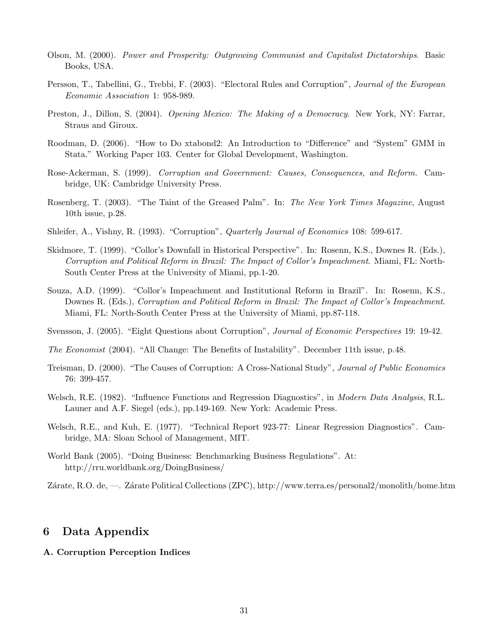- Olson, M. (2000). Power and Prosperity: Outgrowing Communist and Capitalist Dictatorships. Basic Books, USA.
- Persson, T., Tabellini, G., Trebbi, F. (2003). "Electoral Rules and Corruption", Journal of the European Economic Association 1: 958-989.
- Preston, J., Dillon, S. (2004). Opening Mexico: The Making of a Democracy. New York, NY: Farrar, Straus and Giroux.
- Roodman, D. (2006). "How to Do xtabond2: An Introduction to "Difference" and "System" GMM in Stata." Working Paper 103. Center for Global Development, Washington.
- Rose-Ackerman, S. (1999). Corruption and Government: Causes, Consequences, and Reform. Cambridge, UK: Cambridge University Press.
- Rosenberg, T. (2003). "The Taint of the Greased Palm". In: The New York Times Magazine, August 10th issue, p.28.
- Shleifer, A., Vishny, R. (1993). "Corruption", *Quarterly Journal of Economics* 108: 599-617.
- Skidmore, T. (1999). "Collor's Downfall in Historical Perspective". In: Rosenn, K.S., Downes R. (Eds.), Corruption and Political Reform in Brazil: The Impact of Collor's Impeachment. Miami, FL: North-South Center Press at the University of Miami, pp.1-20.
- Souza, A.D. (1999). "Collor's Impeachment and Institutional Reform in Brazil". In: Rosenn, K.S., Downes R. (Eds.), Corruption and Political Reform in Brazil: The Impact of Collor's Impeachment. Miami, FL: North-South Center Press at the University of Miami, pp.87-118.
- Svensson, J. (2005). "Eight Questions about Corruption", *Journal of Economic Perspectives* 19: 19-42.
- The Economist (2004). "All Change: The Benefits of Instability". December 11th issue, p.48.
- Treisman, D. (2000). "The Causes of Corruption: A Cross-National Study", *Journal of Public Economics* 76: 399-457.
- Welsch, R.E. (1982). "Influence Functions and Regression Diagnostics", in *Modern Data Analysis*, R.L. Launer and A.F. Siegel (eds.), pp.149-169. New York: Academic Press.
- Welsch, R.E., and Kuh, E. (1977). "Technical Report 923-77: Linear Regression Diagnostics". Cambridge, MA: Sloan School of Management, MIT.
- World Bank (2005). "Doing Business: Benchmarking Business Regulations". At: http://rru.worldbank.org/DoingBusiness/

Zárate, R.O. de, —. Zárate Political Collections (ZPC), http://www.terra.es/personal2/monolith/home.htm

# 6 Data Appendix

#### A. Corruption Perception Indices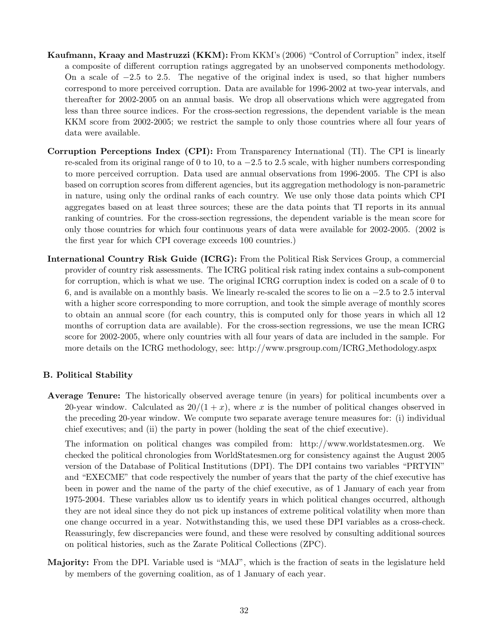- Kaufmann, Kraay and Mastruzzi (KKM): From KKM's (2006) "Control of Corruption" index, itself a composite of different corruption ratings aggregated by an unobserved components methodology. On a scale of  $-2.5$  to 2.5. The negative of the original index is used, so that higher numbers correspond to more perceived corruption. Data are available for 1996-2002 at two-year intervals, and thereafter for 2002-2005 on an annual basis. We drop all observations which were aggregated from less than three source indices. For the cross-section regressions, the dependent variable is the mean KKM score from 2002-2005; we restrict the sample to only those countries where all four years of data were available.
- Corruption Perceptions Index (CPI): From Transparency International (TI). The CPI is linearly re-scaled from its original range of 0 to 10, to  $a - 2.5$  to 2.5 scale, with higher numbers corresponding to more perceived corruption. Data used are annual observations from 1996-2005. The CPI is also based on corruption scores from different agencies, but its aggregation methodology is non-parametric in nature, using only the ordinal ranks of each country. We use only those data points which CPI aggregates based on at least three sources; these are the data points that TI reports in its annual ranking of countries. For the cross-section regressions, the dependent variable is the mean score for only those countries for which four continuous years of data were available for 2002-2005. (2002 is the first year for which CPI coverage exceeds 100 countries.)
- International Country Risk Guide (ICRG): From the Political Risk Services Group, a commercial provider of country risk assessments. The ICRG political risk rating index contains a sub-component for corruption, which is what we use. The original ICRG corruption index is coded on a scale of 0 to 6, and is available on a monthly basis. We linearly re-scaled the scores to lie on a −2.5 to 2.5 interval with a higher score corresponding to more corruption, and took the simple average of monthly scores to obtain an annual score (for each country, this is computed only for those years in which all 12 months of corruption data are available). For the cross-section regressions, we use the mean ICRG score for 2002-2005, where only countries with all four years of data are included in the sample. For more details on the ICRG methodology, see: http://www.prsgroup.com/ICRG Methodology.aspx

# B. Political Stability

Average Tenure: The historically observed average tenure (in years) for political incumbents over a 20-year window. Calculated as  $20/(1+x)$ , where x is the number of political changes observed in the preceding 20-year window. We compute two separate average tenure measures for: (i) individual chief executives; and (ii) the party in power (holding the seat of the chief executive).

The information on political changes was compiled from: http://www.worldstatesmen.org. We checked the political chronologies from WorldStatesmen.org for consistency against the August 2005 version of the Database of Political Institutions (DPI). The DPI contains two variables "PRTYIN" and "EXECME" that code respectively the number of years that the party of the chief executive has been in power and the name of the party of the chief executive, as of 1 January of each year from 1975-2004. These variables allow us to identify years in which political changes occurred, although they are not ideal since they do not pick up instances of extreme political volatility when more than one change occurred in a year. Notwithstanding this, we used these DPI variables as a cross-check. Reassuringly, few discrepancies were found, and these were resolved by consulting additional sources on political histories, such as the Zarate Political Collections (ZPC).

Majority: From the DPI. Variable used is "MAJ", which is the fraction of seats in the legislature held by members of the governing coalition, as of 1 January of each year.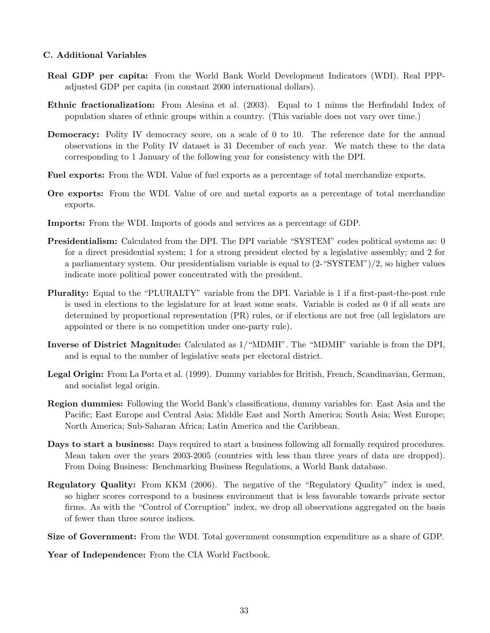# C. Additional Variables

- Real GDP per capita: From the World Bank World Development Indicators (WDI). Real PPPadjusted GDP per capita (in constant 2000 international dollars).
- Ethnic fractionalization: From Alesina et al. (2003). Equal to 1 minus the Herfindahl Index of population shares of ethnic groups within a country. (This variable does not vary over time.)
- **Democracy:** Polity IV democracy score, on a scale of 0 to 10. The reference date for the annual observations in the Polity IV dataset is 31 December of each year. We match these to the data corresponding to 1 January of the following year for consistency with the DPI.
- Fuel exports: From the WDI. Value of fuel exports as a percentage of total merchandize exports.
- Ore exports: From the WDI. Value of ore and metal exports as a percentage of total merchandize exports.
- Imports: From the WDI. Imports of goods and services as a percentage of GDP.
- Presidentialism: Calculated from the DPI. The DPI variable "SYSTEM" codes political systems as: 0 for a direct presidential system; 1 for a strong president elected by a legislative assembly; and 2 for a parliamentary system. Our presidentialism variable is equal to (2-"SYSTEM")/2, so higher values indicate more political power concentrated with the president.
- Plurality: Equal to the "PLURALTY" variable from the DPI. Variable is 1 if a first-past-the-post rule is used in elections to the legislature for at least some seats. Variable is coded as 0 if all seats are determined by proportional representation (PR) rules, or if elections are not free (all legislators are appointed or there is no competition under one-party rule).
- Inverse of District Magnitude: Calculated as 1/"MDMH". The "MDMH" variable is from the DPI, and is equal to the number of legislative seats per electoral district.
- Legal Origin: From La Porta et al. (1999). Dummy variables for British, French, Scandinavian, German, and socialist legal origin.
- Region dummies: Following the World Bank's classifications, dummy variables for: East Asia and the Pacific; East Europe and Central Asia; Middle East and North America; South Asia; West Europe; North America; Sub-Saharan Africa; Latin America and the Caribbean.
- Days to start a business: Days required to start a business following all formally required procedures. Mean taken over the years 2003-2005 (countries with less than three years of data are dropped). From Doing Business: Benchmarking Business Regulations, a World Bank database.
- Regulatory Quality: From KKM (2006). The negative of the "Regulatory Quality" index is used, so higher scores correspond to a business environment that is less favorable towards private sector firms. As with the "Control of Corruption" index, we drop all observations aggregated on the basis of fewer than three source indices.

Size of Government: From the WDI. Total government consumption expenditure as a share of GDP.

Year of Independence: From the CIA World Factbook.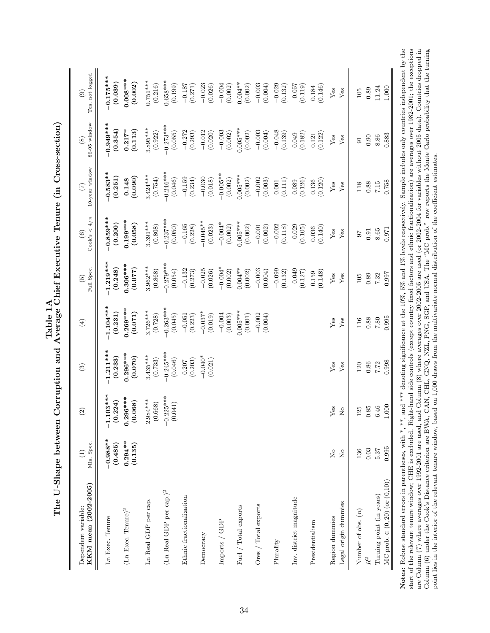| KKM mean (2002-2005)<br>Dependent variable: | Min. Spec.<br>$\widehat{\Xi}$  | $\widehat{\Omega}$         | $\odot$                | $\bigoplus$            | Full Spec.<br>$\widetilde{\mathbf{e}}$ | $\mathrm{Cook's} < 4/n$<br>$\begin{array}{c} \textcircled{\small{6}} \end{array}$ | 10-year window<br>$\left( 7\right)$ | $86-05$ window<br>$\circled{s}$ | Ten. not logged<br>$\circledcirc$ |
|---------------------------------------------|--------------------------------|----------------------------|------------------------|------------------------|----------------------------------------|-----------------------------------------------------------------------------------|-------------------------------------|---------------------------------|-----------------------------------|
| Ln Exec. Tenure                             | $-0.988**$<br>(0.485)          | $-1.103***$<br>(0.224)     | $1.211***$<br>(0.233)  | 1.104***<br>(0.231)    | $1.219***$<br>(0.248)                  | $-0.859***$<br>(0.200)                                                            | $0.583**$<br>(0.251)                | $0.949***$<br>(0.354)           | $-0.175***$<br>(0.039)            |
| (Ln Exec. Tenure) <sup>2</sup>              | $0.294***$<br>(0.135)          | $0.296***$<br>(0.068)      | $0.296***$<br>(0.070)  | $0.269***$<br>(110.0)  | $0.306***$<br>(0.077)                  | $0.199***$<br>(0.058)                                                             | (0.090)<br>0.148                    | $0.217*$<br>(0.113)             | $0.008***$<br>(0.002)             |
| Ln Real GDP per cap.                        |                                | $2.984***$<br>(0.668)      | $3.435***$<br>(0.733)  | $3.726***$<br>(0.728)  | $3.962***$<br>(0.868)                  | $3.391***$<br>(0.808)                                                             | $3.424***$<br>(0.754)               | $3.895***$<br>(0.922)           | $0.751***$<br>(0.216)             |
| $(\mbox{Ln Real GDP per cap.})^2$           |                                | $-0.225***$<br>(0.041)     | $-0.245***$<br>(0.046) | $-0.263***$<br>(0.045) | $-0.279***$<br>(0.054)                 | $-0.237***$<br>(0.050)                                                            | $-0.246***$<br>(0.046)              | $-0.273***$<br>(0.055)          | $0.658***$<br>(0.199)             |
| Ethnic fractionalization                    |                                |                            | (0.203)<br>0.207       | (0.223)<br>$-0.051$    | $-0.132$<br>(0.273)                    | $-0.165$<br>(0.228)                                                               | $-0.159$<br>(0.234)                 | $-0.272$<br>(0.293)             | $-0.187$<br>(0.271)               |
| Democracy                                   |                                |                            | $-0.040*$<br>(0.021)   | $-0.037*$<br>(0.019)   | $-0.025$<br>(0.026)                    | $-0.045***$<br>(0.023)                                                            | $-0.030$<br>(0.018)                 | $-0.012$<br>(0.020)             | $-0.023$<br>(0.026)               |
| Imports / GDP                               |                                |                            |                        | $-0.004$<br>(0.003)    | $-0.004*$<br>(0.002)                   | $-0.004*$<br>(0.002)                                                              | $-0.005***$<br>(0.002)              | $-0.003$<br>(0.002)             | $-0.004$<br>(0.002)               |
| Fuel / Total exports                        |                                |                            |                        | $0.005***$<br>(0.001)  | $0.004***$<br>(0.002)                  | $0.005***$<br>(0.002)                                                             | $0.005***$<br>(0.002)               | $0.005***$<br>(0.002)           | $0.004***$<br>(0.002)             |
| Ores / Total exports                        |                                |                            |                        | $-0.002$<br>(0.004)    | $-0.003$<br>(0.004)                    | $-0.001$<br>(0.002)                                                               | $-0.002$<br>(0.003)                 | $-0.003$<br>(0.004)             | $-0.003$<br>(0.004)               |
| Plurality                                   |                                |                            |                        |                        | $-0.099$<br>(0.132)                    | $-0.002$<br>(0.118)                                                               | (0.111)<br>0.001                    | $-0.048$<br>(0.139)             | $-0.029$<br>(0.132)               |
| Inv. district magnitude                     |                                |                            |                        |                        | $-0.049$<br>(0.127)                    | $-0.029$<br>(0.105)                                                               | (0.126)<br>0.089                    | (0.182)<br>0.049                | $-0.057$<br>(0.119)               |
| Presidentialism                             |                                |                            |                        |                        | (0.148)<br>0.159                       | (0.140)<br>0.036                                                                  | (0.120)<br>0.136                    | (0.122)<br>0.121                | (0.146)<br>0.184                  |
| Region dummies                              | $\frac{1}{2}$                  | ${\rm Yes}$                | ${\rm Yes}$            | ${\rm Yes}$            | ${\rm Yes}$                            | ${\rm Yes}$                                                                       | ${\rm Yes}$                         | ${\rm Yes}$                     | ${\rm Yes}$                       |
| Legal origin dummies                        | $\mathop{\mathsf{S}}\nolimits$ | $\stackrel{\circ}{\simeq}$ | Yes                    | $Y$ es                 | ${\rm Yes}$                            | ${\rm Yes}$                                                                       | ${\rm Yes}$                         | ${\rm Yes}$                     | ${\rm Yes}$                       |
| Number of obs. $(n)$                        | 136                            | 25                         | 120                    | 116                    | 105                                    | 76                                                                                | 118                                 | 5 <sub>1</sub>                  | 105                               |
| $R^2$                                       | $0.03\,$                       | $0.85\,$                   | 0.86                   | $0.88\,$               | 0.89                                   | 0.91                                                                              | 0.88                                | 0.90                            | $0.89\,$                          |
| Turning point (in years)                    | 5.37                           | 6.46                       | 7.72                   | $7.80\,$               | 7.32                                   | 8.65                                                                              | $7.15$                              | 8.86                            | 11.24                             |
| $MC$ prob. $\in (0, 20)$ (or $(0, 10)$ )    | 0.995                          | 1.000                      | 0.998                  | 0.995                  | 0.997                                  | 0.971                                                                             | 0.758                               | 0.883                           | 1.000                             |

The U-Shape between Corruption and Average Chief Executive Tenure (in Cross-section) The U-Shape between Corruption and Average Chief Executive Tenure (in Cross-section) Notes: Robust standard errors in parentheses, with  $*, **$ , and  $**$  denoting significance at the 10%, 5% and 1% levels respectively. Sample includes only countries independent by the start of the relevant tenure window; CHE are Column (7) where averages over 1992-2001 are used, and Column (8) where averages over 2002-2005 are used (or 2002-2004 for variables without 2005 data). Countries dropped in Column (6) under the Cook's Distance criteri Column (6) under the Cook's Distance criterion are BWA, CAN, CHL, GNQ, NZL, PNG, SGP, and USA. The "MC prob." row reports the Monte Carlo probability that the turning Notes: Robust standard errors in parentheses, with \*, \*\*, and \*\*\* denoting significance at the 10%, 5% and 1% levels respectively. Sample includes only countries independent by the start of the relevant tenure window; CHE is excluded. Right-hand side controls (except country fixed factors and ethnic fractionalization) are averages over 1982-2001; the exceptions are Column (7) where averages over 1992-2001 are used, and Column (8) where averages over 2002-2005 are used (or 2002-2004 for variables without 2005 data). Countries dropped in point lies in the interior of the relevant tenure window, based on 1,000 draws from the multivariate normal distribution of the coefficient estimates.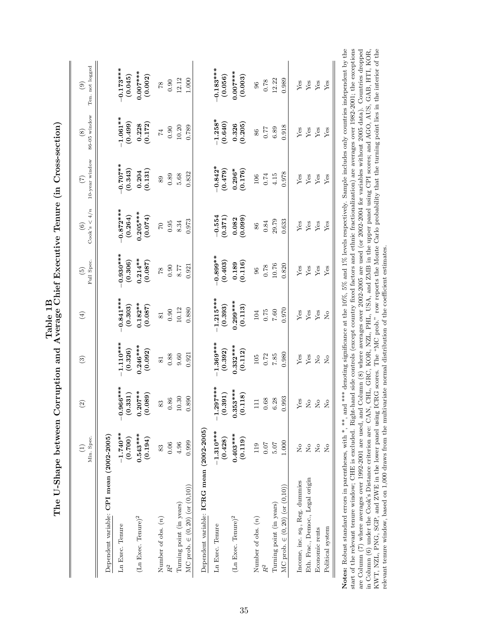|                                                                    | Min. Spec.<br>$\widehat{\Xi}$ | $\widehat{\mathfrak{g}}$ | $\mathbf{E}$                                                           | $\bigoplus$            | Full Spec.<br>$\widetilde{\Theta}$ | Cook's $\lt 4/n$<br>$\odot$ | 10-year window<br>$\widetilde{C}$ | $86-05$ window<br>$\circledS$               | Ten. not logged<br>$\odot$ |
|--------------------------------------------------------------------|-------------------------------|--------------------------|------------------------------------------------------------------------|------------------------|------------------------------------|-----------------------------|-----------------------------------|---------------------------------------------|----------------------------|
| Dependent variable: CPI mean (2002-2005)                           |                               |                          |                                                                        |                        |                                    |                             |                                   |                                             |                            |
| Ln Exec. Tenure                                                    | $-1.740**$<br>(0.700)         | $-0.966***$<br>(0.331)   | $-1.110***$<br>(0.326)                                                 | $0.841***$<br>(0.303)  | $-0.930***$<br>(0.306)             | $-0.872***$<br>(0.264)      | $-0.707**$<br>(0.343)             | $-1.061***$<br>(0.499)                      | $-0.173***$<br>(0.045)     |
| $(\rm Ln~Exec.~Tenure)^2$                                          | $0.543***$<br>(0.194)         | $0.207***$<br>(0.089)    | $0.246***$<br>(0.092)                                                  | $0.182**$<br>(0.087)   | $0.214***$<br>(0.087)              | $0.205***$<br>(0.074)       | (0.131)<br>0.204                  | (0.172)<br>0.228                            | $0.007***$<br>(0.002)      |
| Number of obs. $(n)$                                               | 83                            | 83                       | $\overline{81}$                                                        | $\overline{81}$        | $81$                               | $\mathcal{C}$               | 89                                | $\ensuremath{\mathop{\mathbb{F}}\nolimits}$ | $8\!$                      |
|                                                                    | $0.06\,$                      | 0.86                     | 0.88                                                                   | 0.90                   | 0.90                               | 0.95                        | 0.89                              | 0.90                                        | 0.90                       |
| MC prob. $\in (0, 20)$ (or $(0, 10)$ )<br>Turning point (in years) | 0.999<br>4.96                 | 0.890<br>$10.30\,$       | 0.921<br>9.60                                                          | 0.880<br>10.12         | 0.921<br>8.77                      | 0.973<br>8.34               | 0.832<br>5.68                     | 0.789<br>10.20                              | 12.12<br>1.000             |
| Dependent variable: ICRG mean (2002-2005)                          |                               |                          |                                                                        |                        |                                    |                             |                                   |                                             |                            |
| Ln Exec. Tenure                                                    | $-1.310***$<br>(0.428)        | $-1.297***$<br>(0.391)   | $-1.369***$<br>(0.392)                                                 | $-1.215***$<br>(0.393) | $-0.899**$<br>(0.403)              | $-0.554$<br>(0.371)         | $-0.842*$<br>(0.479)              | $-1.258*$<br>(0.640)                        | $-0.183***$<br>(0.056)     |
| $(\rm Ln~Exec.~Tenure)^2$                                          | $0.403***$<br>(0.119)         | $0.353***$<br>(0.118)    | $0.332***$<br>(0.112)                                                  | $0.299***$<br>(0.113)  | (0.116)<br>0.189                   | (0.099)<br>0.082            | $0.296*$<br>(0.176)               | (0.205)<br>0.326                            | $0.007***$<br>(0.003)      |
| Number of obs. $(n)$                                               | 119                           | $\Xi$                    | 105                                                                    | 104                    | 96                                 | 86                          | 106                               | 86                                          | 96                         |
|                                                                    | $0.07$                        | 0.68                     | 0.72                                                                   | $0.75$                 | 0.78                               | 0.84                        | 0.74                              | 77                                          | 0.78                       |
| Turning point (in years)                                           | $5.07$                        | 6.28                     | 7.85                                                                   | $7.60\,$               | 10.76                              | 29.79                       | 4.15                              | 6.89                                        | 12.22                      |
| MC prob. $\in (0, 20)$ (or $(0, 10)$ )                             | 1.000                         | 0.993                    | 0.980                                                                  | 0.970                  | 0.820                              | 0.633                       | 0.978                             | 0.918                                       | 0.989                      |
| Income, inc. sq., Reg. dummies                                     | $\frac{1}{2}$                 | ${\rm Yes}$              | Yes                                                                    | ${\rm Yes}$            | ${\rm Yes}$                        | ${\rm Yes}$                 | Yes                               | ${\rm Yes}$                                 | ${\rm Yes}$                |
| Eth. Frac., Democ., Legal origin                                   | $\overline{R}$                | $\mathcal{L}^{\circ}$    | Yes                                                                    | Yes                    | Yes                                | Yes                         | Yes                               | Yes                                         | Yes                        |
| Economic rents                                                     | $\mathcal{L}^{\circ}$         | $_{\rm N_o}$             | $\rm \stackrel{\circ}{\rm \stackrel{\circ}{\rm \scriptscriptstyle M}}$ | Yes                    | Yes                                | ${\rm Yes}$                 | Yes                               | Yes                                         | Yes                        |
| Political system                                                   | $\overline{R}$                | $\overline{a}$           | $\mathsf{S}^{\mathsf{O}}$                                              | $\tilde{z}$            | Yes                                | Yes                         | Yes                               | Yes                                         | Yes                        |

| Notes: Robust standard errors in parentheses, with $*$ , **, and $*$ denoting significance at the 10%, 5% and 1% levels respectively. Sample includes only countries independent by the |
|-----------------------------------------------------------------------------------------------------------------------------------------------------------------------------------------|
| start of the relevant tenure window; CHE is excluded. Right-hand side controls (except country fixed factors and ethnic fractionalization) are averages over 1982-2001; the exceptions  |
| Column $(8)$ where averages over 2002-2005 are used (or 2002-2004 for variables without 2005 data). Countries dropped<br>are Column (7) where averages over 1992-2001 are used, and     |
| n Column (6) under the Cook's Distance criterion are: CAN, CHL, GRC, KOR, NZL, PHL, USA, and ZMB in the upper panel using CPI scores; and AGO, AUS, GAB, HTI, KOR,                      |
| ICRG scores. The "MC prob." row reports the Monte Carlo probability that the turning point lies in the interior of the<br>IWT, NZL, PNG, SGP, and ZWE in the lower panel using          |
| relevant tenure window, based on 1,000 draws from the multivariate normal distribution of the coefficient estimates.                                                                    |
|                                                                                                                                                                                         |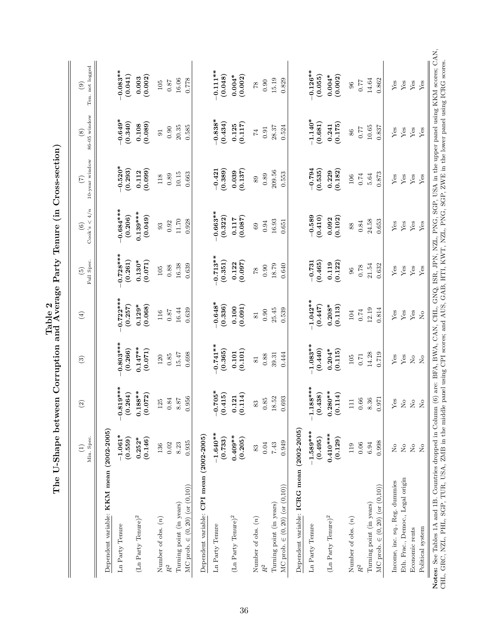|                                                                    | Min. Spec.<br>$\widehat{E}$                                            | $\widehat{\odot}$                                                      | $\mathfrak{S}$                        | $\tag{4}$                             | Full Spec.<br>$\widetilde{\Theta}$ | Cook's < $4/n$<br>$\odot$ | 10-year window<br>$\widetilde{(\mathcal{L})}$ | $86-05$ window<br>$\circledast$ | Ten. not logged<br>$\odot$ |
|--------------------------------------------------------------------|------------------------------------------------------------------------|------------------------------------------------------------------------|---------------------------------------|---------------------------------------|------------------------------------|---------------------------|-----------------------------------------------|---------------------------------|----------------------------|
| Dependent variable: KKM mean (2002-2005)                           |                                                                        |                                                                        |                                       |                                       |                                    |                           |                                               |                                 |                            |
| Ln Party Tenure                                                    | $-1.061*$<br>(0.559)                                                   | $-0.819***$<br>(0.264)                                                 | $0.803***$<br>(0.266)                 | $0.722***$<br>(0.257)                 | $0.728***$<br>(0.261)              | $-0.684***$<br>(0.206)    | $-0.520*$<br>(0.293)                          | $-0.649*$<br>(0.340)            | $-0.083**$<br>(0.041)      |
| $(\rm Ln~Party~Tenure)^2$                                          | (0.146)<br>$0.252*$                                                    | $0.188***$<br>(0.072)                                                  | $0.147***$<br>(0.071)                 | $0.129*$<br>(0.068)                   | $0.130*$<br>(0.071)                | $0.139***$<br>(0.049)     | (0.099)<br>0.112                              | (0.089)<br>0.108                | (0.002)<br>0.003           |
| Number of obs. $(n)$                                               | 136                                                                    | $125$                                                                  | 120                                   | $116\,$                               | $105\,$                            | 93                        | 118                                           | $\overline{91}$                 | $105\,$                    |
|                                                                    | 8.23<br>0.02                                                           | $0.84\,$<br>8.87                                                       | 15.47<br>0.85                         | 0.87                                  | 0.88                               | $11.70\,$<br>0.92         | 10.15<br>0.89                                 | 20.35<br>0.90                   | 16.06<br>$0.87$            |
| MC prob. $\in (0, 20)$ (or $(0, 10)$ )<br>Turning point (in years) | 0.935                                                                  | 0.956                                                                  | 0.698                                 | $16.44\,$<br>0.639                    | 16.38<br>0.639                     | 0.928                     | 0.663                                         | 0.585                           | 0.778                      |
| Dependent variable: CPI mean (2002-2005)                           |                                                                        |                                                                        |                                       |                                       |                                    |                           |                                               |                                 |                            |
| Ln Party Tenure                                                    | $-1.640**$<br>(0.733)                                                  | $-0.705*$<br>(0.415)                                                   | $-0.741**$<br>(0.365)                 | $-0.648*$<br>(0.336)                  | $-0.713**$<br>(0.351)              | $-0.663**$<br>(0.322)     | (0.389)<br>$-0.421$                           | $-0.838*$<br>(0.434)            | $-0.111**$<br>(0.048)      |
| $(\rm Ln~Party~Tenure)^2$                                          | $0.409**$<br>(0.205)                                                   | (0.114)<br>0.121                                                       | (0.101)<br>0.101                      | (0.091)<br>0.100                      | (0.097)<br>0.122                   | (0.087)<br>0.117          | (0.137)<br>0.039                              | (0.117)<br>0.125                | $0.004*$<br>(0.002)        |
| Number of obs. $(n)$                                               | 83                                                                     | 83                                                                     | 81                                    | $\overline{\text{81}}$                | $82$                               | 69                        | 89                                            | $\overline{7}$                  | 87                         |
|                                                                    | 0.04                                                                   | $0.85\,$                                                               | $0.88\,$                              | 0.90                                  | 0.90                               | 0.94                      | 0.89                                          | 0.91                            | 0.90                       |
| Turning point (in years)                                           | $7.43\,$                                                               | 18.52                                                                  | 39.31                                 | 25.45                                 | 18.79                              | 16.93                     | 209.56                                        | 28.37                           | 15.19                      |
| MC prob. $\in (0, 20)$ (or $(0, 10)$ )                             | 0.949                                                                  | 0.693                                                                  | 0.444                                 | 0.539                                 | 0.640                              | 0.651                     | 0.553                                         | 0.524                           | 0.829                      |
| Dependent variable: ICRG mean (2002-2005)                          |                                                                        |                                                                        |                                       |                                       |                                    |                           |                                               |                                 |                            |
| Ln Party Tenure                                                    | $-1.589***$<br>(0.495)                                                 | $-1.188***$<br>(0.438)                                                 | $-1.083**$<br>(0.440)                 | $-1.042**$<br>(0.447)                 | $-0.731$<br>(0.465)                | $-0.589$<br>(0.410)       | $-0.794$<br>(0.535)                           | $-1.140*$<br>(0.681)            | $-0.126**$<br>(0.055)      |
| $(\rm Ln~Party~Tenure)^2$                                          | $0.410***$<br>(0.129)                                                  | $0.280**$<br>(0.114)                                                   | $0.204*$<br>(0.115)                   | $0.208*$<br>(0.113)                   | (0.122)<br>0.119                   | (0.102)<br>0.092          | (0.182)<br>0.229                              | (0.175)<br>0.241                | $0.004*$<br>(0.002)        |
| Number of obs. $(n)$                                               | 119                                                                    | $\Xi$                                                                  | 105                                   | 104                                   | 96                                 | 88                        | 106                                           | 86                              | $96$                       |
|                                                                    | 0.06                                                                   | 0.66                                                                   | $0.71\,$                              | 0.74                                  | 0.78                               | 0.84                      | 0.74                                          | 0.77                            | 0.77                       |
| Turning point (in years)                                           | 6.94                                                                   | 8.36                                                                   | 14.28                                 | 12.19                                 | 21.54                              | 24.58                     | 5.64                                          | 10.65                           | 14.64                      |
| MC prob. $\in (0, 20)$ (or $(0, 10)$ )                             | 0.998                                                                  | 0.971                                                                  | 0.719                                 | 0.814                                 | 0.632                              | 0.653                     | 0.873                                         | 0.837                           | 0.862                      |
| Income, inc. sq., Reg. dummies                                     | $\rm \stackrel{\circ}{\rm \stackrel{\circ}{\rm \scriptscriptstyle M}}$ | ${\rm Yes}$                                                            | Yes                                   | ${\rm Yes}$                           | ${\rm Yes}$                        | Yes                       | Yes                                           | Yes                             | ${\rm Yes}$                |
| Eth. Frac., Democ., Legal origin                                   | $\stackrel{\circ}{\phantom{}_{\sim}}$                                  | $\stackrel{\circ}{\mathbf{Z}}$                                         | Yes                                   | Yes                                   | $\mathbf{Yes}$                     | Yes                       | Yes                                           | Yes                             | Yes                        |
| Economic rents                                                     | $\stackrel{\circ}{\simeq}$                                             | $\stackrel{\circ}{\mathbf{Z}}$                                         | $\stackrel{\circ}{\phantom{}_{\sim}}$ | Yes                                   | $\rm Yes$                          | ${\rm Yes}$               | ${\rm Yes}$                                   | ${\rm Yes}$                     | ${\rm Yes}$                |
| Political system                                                   | $\rm _{No}$                                                            | $\rm \stackrel{\circ}{\rm \stackrel{\circ}{\rm \scriptscriptstyle M}}$ | $\stackrel{\circ}{\phantom{}_{\sim}}$ | $\stackrel{\circ}{\phantom{}_{\sim}}$ | Yes                                | Yes                       | Yes                                           | Yes                             | Yes                        |

|                                    | ζ<br>֧֦֦֦֦֦֧֧֦֧֧֧֦֧֦֧֧֦֧֦֧֦֧֧֧֧֧֧֝֝֝֝֝֝֬֝֟֓֟֓֟֓֟֓֟֓֝֬֝֓֟֓֟֓֟֓֟֓֝֬֝֟֓֝֬֝֬֝֬֝֬֝֝<br>֧֪֪֧֧֧֪֧֧֧֧֪֪֪֦֖֖֧֧֚֝֝֝֬֝֝֬֝֬֝֬֝֬֝֬֝֝֬֝֬<br>֦֧֦֧֚֬֝֬֓֓֓֬֓֓֓֬֓֓֓֓֓֓֓֬֓֓֓֬֓֓֓֡֓֓֬֓֓ |
|------------------------------------|---------------------------------------------------------------------------------------------------------------------------------------------------------------------|
|                                    |                                                                                                                                                                     |
|                                    | ֧֪֪֪֦֧֧֧֧֧֧֦֧֧֛֛֛֪֦֧֦֧֧֧֧֧֧֦֧֦֧֧֛֛֝֝֝֝֝֝֝֬֝֬֝֬֝֬֝֓֟֓֝֬֝֓֟֓֟֓֟֓֟֓֟֓֟֓֝֬֟֓֟֓֝֬֜֜֝֬֝֬֝֬֝֬֝֬֜֝֬֜<br>֧֧֛֧֧֧֪֧֧֪֧֪֧֪֧֜֝֓֬֝֬֝֬֝֬֝֬֝֬֝֬<br>j<br>)<br>I                      |
|                                    | Í                                                                                                                                                                   |
| ļ<br>¢<br>$\overline{\phantom{a}}$ | Trarama Larty<br>)<br>)<br>)                                                                                                                                        |
| <b>Lanus</b>                       |                                                                                                                                                                     |
|                                    | - China China China China<br>China China China China China China China China China China China China China China China China China China Ch<br>l<br>ζ               |
|                                    |                                                                                                                                                                     |
|                                    | י<br>י<br>l<br>$\frac{1}{2}$<br>ับ<br> <br>Ī<br>I<br>)<br>I                                                                                                         |
|                                    |                                                                                                                                                                     |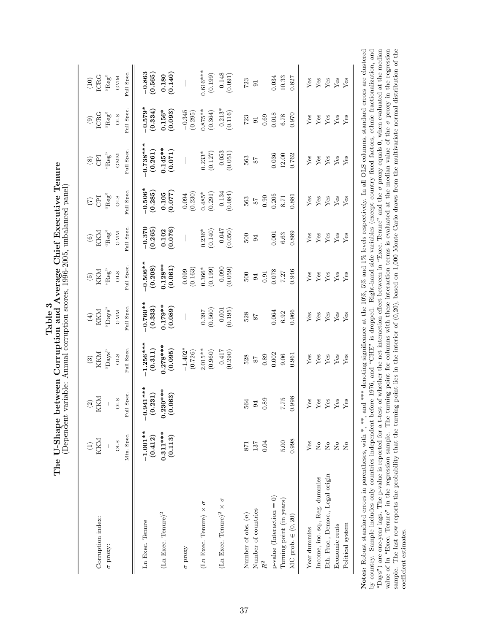|                                                                  | THE O-DIRIC DELWEL ON THE DELWEL ON THE DELWEL OF THE DELWEL OF THE DELWEL OF THE DELWEL OF THE DELWEL OF THE DELWEL OF THE DELWEL OF THE DELWEL OF THE DELWEL OF THE DELWEL OF THE DELWEL OF THE DELWE OF THE DELWE OF THE DE | (Dependent variable: Annual corruption scores, 1996-2005, unbalanced panel) |                                                         |                                                   |                                        |                                                  |                                                  |                                                 |                                                          |                                                    |
|------------------------------------------------------------------|--------------------------------------------------------------------------------------------------------------------------------------------------------------------------------------------------------------------------------|-----------------------------------------------------------------------------|---------------------------------------------------------|---------------------------------------------------|----------------------------------------|--------------------------------------------------|--------------------------------------------------|-------------------------------------------------|----------------------------------------------------------|----------------------------------------------------|
| Corruption index:                                                | KKM                                                                                                                                                                                                                            | KKM<br>$\odot$                                                              | $\begin{array}{c} \text{(3)} \\ \text{KKM} \end{array}$ | KKM<br>$(\pm)$                                    | KKM<br>$\widetilde{\mathfrak{S}}$      | $\begin{array}{c} (6) \\ \text{KKM} \end{array}$ | E<br>$\left( \sum_{i=1}^{n} \tilde{z}_i \right)$ | E<br>$\circledast$                              | ICRG<br>$\circledcirc$                                   | $\begin{array}{c} (10) \\ \text{ICRG} \end{array}$ |
| $\sigma$ proxy:                                                  | Min. Spec.<br><b>OLS</b>                                                                                                                                                                                                       | Full Spec.<br><b>OLS</b>                                                    | Full Spec<br>$``\rm{Days}"$<br>STO                      | Full Spec.<br>$``\rm{Days}"$<br>$_{\rm GMM}$      | Full Spec.<br>$``\mathsf{Reg}"$<br>OLS | Full Spec.<br>$``\mathsf{Reg}"$<br>$_{\rm GMM}$  | Full Spec.<br>"Reg"<br><b>OLS</b>                | Full Spec.<br>$``\mathrm{Reg}"$<br>$_{\rm GMM}$ | Full Spec<br>$\mathbf{r}_{\mathsf{e}\mathsf{g}'}$<br>OLS | Full Spec.<br>$``\mathrm{Reg}"$<br><b>GMM</b>      |
| Ln Exec. Tenure                                                  | $-1.001**$<br>(0.412)                                                                                                                                                                                                          | $-0.941***$<br>(0.231)                                                      | $-1.256***$<br>(0.311)                                  | $\begin{array}{c} -0.760** \ (0.333) \end{array}$ | $-0.506**$<br>(0.208)                  | $-0.370$<br>(0.265)                              | $-0.506*$<br>(0.285)                             | $0.738***$<br>(0.261)                           | $-0.579*$<br>(0.334)                                     | $-0.863$<br>(0.565)                                |
| $(\rm Ln~Exec.~Tenure)^2$                                        | $0.311***$<br>(0.113)                                                                                                                                                                                                          | $0.230***$<br>(0.063)                                                       | $0.278***$<br>(0.095)                                   | $0.179***$<br>(0.089)                             | $0.128***$<br>(0.061)                  | $\frac{0.102}{(0.076)}$                          | (0.105)                                          | (0.071)                                         | $0.156*$<br>(0.093)                                      | $\begin{array}{c} 0.180 \\ (0.140) \end{array}$    |
| $\sigma$ proxy                                                   |                                                                                                                                                                                                                                |                                                                             | $-1.402*$<br>(0.726)                                    |                                                   | (0.163)<br>0.099                       |                                                  | (0.230)<br>0.094                                 |                                                 | $-0.345$<br>(0.295)                                      |                                                    |
| (Ln Exec. Tenure) $\times\,\sigma$                               |                                                                                                                                                                                                                                |                                                                             | $2.015**$<br>(0.960)                                    | $(0.397$<br>(0.560)                               | (0.199)<br>$0.366*$                    | $0.236*$<br>(0.140)                              | $(0.485*$<br>(0.291)                             | $0.233*$<br>(0.127)                             | $0.875**$<br>(0.364)                                     | $0.616***$<br>(0.199)                              |
| (L<br>n Exec. Tenure)<br>² $\times$ $\sigma$                     |                                                                                                                                                                                                                                |                                                                             | $-0.417$<br>(0.290)                                     | (0.195)<br>$-0.001$                               | $-0.090$<br>(0.059)                    | $-0.047$<br>(0.050)                              | $-0.134$<br>(0.084)                              | $-0.053$<br>(0.051)                             | $-0.213*$<br>(0.116)                                     | $-0.148$<br>(0.091)                                |
| Number of obs. $(n)$                                             | 871                                                                                                                                                                                                                            | 564                                                                         | 528                                                     | 528                                               | 500                                    | 500                                              | 563                                              | 563                                             | 723                                                      | 723                                                |
| Number of countries                                              | 137                                                                                                                                                                                                                            | $\mathfrak{B}$                                                              | $\sqrt{8}$                                              | $28$                                              | 94                                     | 94                                               | $28$                                             | $\sqrt{8}$                                      | $\overline{5}$                                           | $\Xi$                                              |
| $\mathcal{L} = \mathcal{L} = \mathcal{L} = \mathcal{L}$<br>$R^2$ | 0.04                                                                                                                                                                                                                           | 0.89                                                                        | o oo<br>0.89                                            | coco                                              | $\sim$<br>0.91                         | n oo 1                                           | n nnF<br>0.90                                    | o o o                                           | 0.010<br>0.69                                            | $\sim$ $\sim$ $\sim$<br>$\overline{\phantom{a}}$   |

The U-Shane between Corruption and Average Chief Executive Tenure<br>The U-Shane between Corruption and Average Chief Executive Tenure The U-Shape between Corruption and Average Chief Executive Tenure

value of ln "Exec. Tenure" in the regression sample. The turning point for columns with these interaction terms is evaluated at the median value of the  $\sigma$  proxy in the regression sample. The last row reports the probabi "Days") are one-year lags. The p-value is reported for a t-test of whether the net interaction effect between ln "Exec. Tenure" and the  $\sigma$  proxy equals 0, when evaluated at the median Notes: Robust standard errors in parentheses, with  $*$ ,  $**$ , and  $***$  denoting significance at the 10%, 5% and 1% levels respectively. In all OLS columns, standard errors are clustered by country. Sample includes only countries independent before 1976, and "CHE" is dropped. Right-hand side variables (except country fixed factors, ethnic fractionalization, and "Days") are one-year lags. The p-value is reported for a t-test of whether the net interaction effect between ln "Exec. Tenure" and the σ proxy equals 0, when evaluated at the median value of ln "Exec. Tenure" in the regression sample. The turning point for columns with these interaction terms is evaluated at the median value of the σ proxy in the regression Notes: Robust standard errors in parentheses, with \*, \*\*, and \*\*\* denoting significance at the 10%, 5% and 1% levels respectively. In all OLS columns, standard errors are clustered by country. Sample includes only countries independent before 1976, and "CHE" is dropped. Right-hand side variables (except country fixed factors, ethnic fractionalization, and sample. The last row reports the probability that the turning point lies in the interior of (0,20), based on 1,000 Monte Carlo draws from the multivariate normal distribution of the coefficient estimates. coefficient estimates.

p-value (Interaction = 0) — — 0.002 0.064 0.078 0.001 0.205 0.036 0.018 0.034 Turning point (in years) 5.00 9.06 9.06 9.06 9.06 9.06 7.75 9.07 7.27 9.06 9.06 9.06 8.71 8.71 8.71 6.78 MC prob. ∈ (0, 20) 0.998 0.998 0.961 0.966 0.946 0.889 0.881 0.762 0.970 0.827

0.064

 $0.002$ 9.06 0.961

> $7.75$ 0.998

 $p$ -value (Interaction = 0) Turning point (in years) MC prob.  $\in (0,20)$ 

0.998  $5.00$ 

0.034 10.33 0.827

0.018

0.036  $12.00\,$ 0.762

 $0.205$ 8.71 0.881

 $0.001\,$ 6.63

 $0.078$ 7.27<br>7.27

 $0.970$  $6.78$ 

0.889

0.966 6.92

 $Y$ es  $Y$ es

 ${\rm Yes}$  ${\rm Yes}$  Yes

Yes

Yes

 $Yes$ 

 $Yes$ 

 ${\rm Yes}$ 

 $\ensuremath{\mathrm{Yes}}$  $\mathbf{Yes}$  ${\rm Yes}$ 

 ${\rm Yes}$  $\rm Yes$  ${\rm Yes}$ Yes

 $\ensuremath{\mathrm{Yes}}$  $\mathbf{Yes}$  ${\rm Yes}$  $Y$ es

 $Y$ es  ${\rm Yes}$  ${\rm Yes}$  $Y$ es

 $\mathbf{Yes}$  ${\rm Yes}$ 

 $Yes$  ${\rm Yes}$ 

 $\rm _{Xo}$ 

Eth. Frac., Democ., Legal origin Income, inc. sq., Reg. dummies

Political system Economic rents

 ${\rm Yes}$  $Y$ es

 $Y_{\text{es}}$ <br>Yes

 $\overline{X}$   $\overline{Y}$ 

 ${\rm Yes}$  $Y$ es

Yes

Yes

 $Y$ es

Yes

Yes  $Yes$ 

 $Y$ es

Year dummies Yes Yes Yes Yes Yes Yes Yes Yes Yes Yes Income, inc. sq., Reg. dummies No Yes Yes Yes Yes Yes Yes Yes Yes Yes Eth. Frac., Democ., Legal origin No Yes Yes Yes Yes Yes Yes Yes Yes Yes Economic rents No Yes Yes Yes Yes Yes Yes Yes Yes Yes Political system No Yes Yes Yes Yes Yes Yes Yes Yes Yes

 $Y$ es

Yes

 $Yes$  $\rm _{Xo}$ 

Year dummies

Yes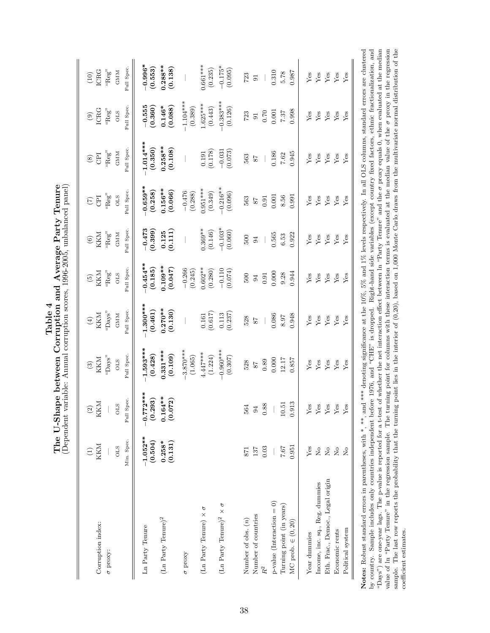| י<br>ב<br>ەلمىت | U-Shape between Corruption and Average Party Tenur | ncea nana<br>$-200$ , under-<br>$1996 - 200^{r}$<br><b>DOLU</b><br>ntion L<br>$\frac{1}{2}$ |
|-----------------|----------------------------------------------------|---------------------------------------------------------------------------------------------|
|                 | The $I^{\tau}$                                     | Annial C<br>'arianla •                                                                      |

| Corruption index:<br>$\sigma$ proxy:        | Min. Spec.<br>KKM<br><b>OLS</b>                                        | Full Spec.<br>KKM<br>STO                        | Full Spec<br>"Days"<br>KKM<br><b>OLS</b>        | Full Spec.<br>"Days"<br>KKM<br>GMM             | Full Spec<br>KKM<br>"Reg"<br><b>OLS</b>       | Full Spec<br>"Reg"<br>KKM<br>GMM        | Full Spec<br>$``\mbox{Reg}''$<br><b>OLS</b><br><b>CPI</b> | Full Spec<br>$``\mathsf{Reg}"$<br><b>GMM</b><br>Eq | Full Spec<br>ICRG<br>"Reg"<br><b>OLS</b><br>$\circledcirc$ | Full Spec.<br>ICRG<br>"Reg"<br><b>GMM</b><br>(10) |
|---------------------------------------------|------------------------------------------------------------------------|-------------------------------------------------|-------------------------------------------------|------------------------------------------------|-----------------------------------------------|-----------------------------------------|-----------------------------------------------------------|----------------------------------------------------|------------------------------------------------------------|---------------------------------------------------|
| $(\rm Ln~Party~Term)^2$<br>Ln Party Tenure  | $-1.052**$<br>(0.504)<br>(0.131)<br>$0.258*$                           | $-0.772***$<br>$0.164***$<br>(0.293)<br>(0.072) | $-1.593***$<br>$0.331***$<br>(0.109)<br>(0.428) | $-1.300***$<br>$0.270**$<br>(0.461)<br>(0.130) | $0.454***$<br>$0.109**$<br>(0.185)<br>(0.047) | $-0.473$<br>(0.399)<br>(0.111)<br>0.125 | $0.659**$<br>$0.156***$<br>(0.258)<br>(0.066)             | $-1.014***$<br>$0.258***$<br>(0.350)<br>(0.108)    | $-0.555$<br>(0.360)<br>(0.088)<br>$0.146*$                 | $-0.996*$<br>$0.288***$<br>(0.553)<br>(0.138)     |
| $\sigma$ proxy                              |                                                                        |                                                 | $3.870***$<br>(1.065)                           |                                                | $-0.266$<br>(0.245)                           |                                         | $-0.476$<br>(0.288)                                       |                                                    | $-1.104***$<br>(0.389)                                     |                                                   |
| (Ln Party Tenure) $\times \sigma$           |                                                                        |                                                 | $4.447***$<br>(1.224)                           | (0.617)<br>0.161                               | $0.602**$<br>(0.280)                          | $0.369**$<br>(0.146)                    | $0.951***$<br>(0.349)                                     | (0.178)<br>0.191                                   | $1.625***$<br>(0.443)                                      | $0.661***$<br>(0.235)                             |
| (Ln Party Tenure)<br>$^2$ $\times$ $\sigma$ |                                                                        |                                                 | $0.960***$<br>(0.307)                           | (0.237)<br>0.113                               | $-0.110$<br>(0.074)                           | $-0.103*$<br>(0.060)                    | $-0.216**$<br>(0.096)                                     | $-0.031$<br>(0.073)                                | $-0.383***$<br>(0.126)                                     | $-0.175*$<br>(0.095)                              |
| Number of obs. $(n)$                        | 871                                                                    | 564                                             | 528                                             | 528                                            | 500                                           | 500                                     | 563                                                       | 563                                                | 723                                                        | 723                                               |
| Number of countries                         | 137                                                                    | 94                                              | $^{87}$                                         | 78                                             | $\overline{94}$                               | $\overline{94}$                         | 78                                                        | 78                                                 | $\overline{5}$                                             | $\overline{5}$                                    |
| $R^2$                                       | 0.03                                                                   | 0.88                                            | 0.89                                            |                                                | 0.91                                          |                                         | 0.91                                                      |                                                    | 0.70                                                       |                                                   |
| $p$ -value (Interaction = 0)                |                                                                        |                                                 | 0.000                                           | 0.086                                          | 0.000                                         | 0.565                                   | 0.001                                                     | 0.186                                              | 0.001                                                      | 0.310                                             |
| Turning point (in years)                    | 7.67                                                                   | 10.51                                           | 12.17                                           | 8.97                                           | 9.28                                          | 6.53                                    | 8.56                                                      | 7.62                                               | 7.87                                                       | 5.78                                              |
| MC prob. $\in (0, 20)$                      | 0.951                                                                  | S<br>0.91                                       | 0.857                                           | 0.948                                          | 0.944                                         | 0.922                                   | 0.991                                                     | 0.945                                              | 0.998                                                      | 0.987                                             |
| Year dummies                                | ${\rm Yes}$                                                            | Yes                                             | ${\rm Yes}$                                     | ${\rm Yes}$                                    | ${\rm Yes}$                                   | ${\rm Yes}$                             | ${\rm Yes}$                                               | ${\rm Yes}$                                        | ${\rm Yes}$                                                | ${\rm Yes}$                                       |
| Income, inc. sq., Reg. dummies              | $\overline{a}$                                                         | Yes                                             | Yes                                             | ${\rm Yes}$                                    | Yes                                           | Yes                                     | Yes                                                       | ${\rm Yes}$                                        | ${\rm Yes}$                                                | ${\rm Yes}$                                       |
| Eth. Frac., Democ., Legal origin            | $\rm \stackrel{\circ}{\rm \stackrel{\circ}{\rm \scriptscriptstyle M}}$ | Yes                                             | ${\rm Yes}$                                     | ${\rm Yes}$                                    | ${\rm Yes}$                                   | ${\rm Yes}$                             | ${\rm Yes}$                                               | ${\rm Yes}$                                        | ${\rm Yes}$                                                | ${\rm Yes}$                                       |
| Economic rents                              | $\overline{R}$                                                         | $Y$ es                                          | Yes                                             | ${\rm Yes}$                                    | ${\rm Yes}$                                   | ${\rm Yes}$                             | ${\rm Yes}$                                               | ${\rm Yes}$                                        | ${\rm Yes}$                                                | ${\rm Yes}$                                       |
| Political system                            | $\overline{R}$                                                         | $Y$ es                                          | Yes                                             | Yes                                            | Yes                                           | Yes                                     | Yes                                                       | Yes                                                | Yes                                                        | $Y$ es                                            |

coefficient estimates.

coefficient estimates.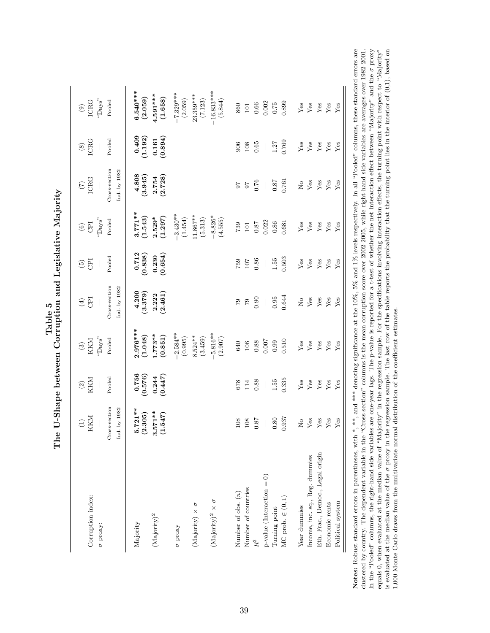| Corruption index:                                                                   | $\begin{array}{c} (1) \\ \text{KKM} \end{array}$   | $\frac{\text{(2)}}{\text{KKM}}$ | KKM<br>$\odot$         | E<br>$\bigoplus$              | Ē<br>$\widetilde{\Theta}$ | E<br>$\copyright$      | $\frac{1}{2}$                 | ICRG<br>$\circledast$                           | ICRG<br>$\Large{\textcircled{\small{1}}}$ |
|-------------------------------------------------------------------------------------|----------------------------------------------------|---------------------------------|------------------------|-------------------------------|---------------------------|------------------------|-------------------------------|-------------------------------------------------|-------------------------------------------|
| $\sigma$ proxy:                                                                     |                                                    |                                 | "SveC"                 |                               |                           | "Days"                 |                               |                                                 | $``\rm{Days}"$                            |
|                                                                                     | Cross-section<br>by 1982<br>Ind.                   | Pooled                          | Pooled                 | Cross-section<br>Ind. by 1982 | Pooled                    | Pooled                 | Cross-section<br>Ind. by 1982 | Pooled                                          | Pooled                                    |
| Majority                                                                            | 721**<br>.305)<br>$\frac{1}{2}$<br>$\widetilde{a}$ | $-0.756$<br>(0.576)             | $2.976***$<br>(1.048)  | $-4.200$<br>(3.379)           | $\frac{-0.712}{(0.838)}$  | $-3.771**$<br>(1.543)  | $-4.808$<br>(3.945)           | $-0.409$<br>(1.192)                             | $-6.540***$<br>(2.059)                    |
| $(\mathrm{M} \mathrm{a} \mathrm{j} \mathrm{or} \mathrm{i} \mathrm{t} \mathrm{y})^2$ | $3.571***$<br>(1.547)                              | $0.244$<br>$(0.447)$            | $1.773**$<br>(0.851)   | $2.222$<br>(2.461)            | $(0.230)$<br>$(0.654)$    | $2.529*$<br>(1.297)    | $2.754$<br>(2.728)            | $\begin{array}{c} 0.161 \\ (0.894) \end{array}$ | $4.591***$<br>(1.658)                     |
| $\sigma$ proxy                                                                      |                                                    |                                 | $-2.584***$<br>(0.995) |                               |                           | $-3.430**$<br>(1.454)  |                               |                                                 | $-7.329***$<br>(2.059)                    |
| (Majority) $\times$ $\sigma$                                                        |                                                    |                                 | $8.524***$<br>(3.459)  |                               |                           | $11.867***$<br>(5.313) |                               |                                                 | 23.359***<br>(7.123)                      |
| $(\mbox{Majority})^2$ $\times$ $\sigma$                                             |                                                    |                                 | $-5.816**$<br>(2.907)  |                               |                           | $-8.826*$<br>(4.555)   |                               |                                                 | $-16.833***$<br>(5.844)                   |
| Number of obs. $(n)$                                                                | 108                                                | 678                             | 640                    | 67                            | 759                       | 739                    | 50                            | 906                                             | 860                                       |
| Number of countries                                                                 | $108\,$                                            | 114                             | $106\,$                | $\mathbb{S}^{\mathbb{Z}}$     | 107                       | $\overline{101}$       | $26\,$                        | 108                                             | $\overline{101}$                          |
|                                                                                     | 0.87                                               | 0.88                            | $0.88\,$               | 0.90                          | 0.86                      | 0.87                   | 0.76                          | 0.65                                            | 0.66                                      |
| $p-value (Interaction = 0)$                                                         |                                                    |                                 | 0.007                  |                               |                           | 0.022                  | $\bigg $                      | $\mid$                                          | 0.002                                     |
| Turning point                                                                       | 0.80                                               | 1.55                            | 0.99                   | $\!0.95\!$                    | $1.55\,$                  | 0.86                   | 0.87                          | 1.27                                            | $0.75\,$                                  |
| MC prob. $\in (0,1)$                                                                | .937                                               | 0.335                           | 0.510                  | 0.644                         | 0.503                     | 0.681                  | 0.761                         | 0.769                                           | 0.899                                     |
| Year dummies                                                                        | $\frac{1}{2}$                                      | ${\rm Yes}$                     | Yes                    | $\mathsf{S}_{\mathsf{X}}$     | Yes                       | ${\rm Yes}$            | $\rm _{N}^{\circ}$            | ${\rm Yes}$                                     | ${\rm Yes}$                               |
| Income, inc. sq., Reg. dummies                                                      | ${\rm Yes}$                                        | ${\rm Yes}$                     | ${\rm Yes}$            | ${\rm Yes}$                   | ${\rm Yes}$               | ${\rm Yes}$            | ${\rm Yes}$                   | ${\rm Yes}$                                     | ${\rm Yes}$                               |
| Eth. Frac., Democ., Legal origin                                                    | $\rm Yes$                                          | ${\rm Yes}$                     | ${\rm Yes}$            | ${\rm Yes}$                   | ${\rm Yes}$               | ${\rm Yes}$            | ${\rm Yes}$                   | ${\rm Yes}$                                     | $\rm Yes$                                 |
| Economic rents                                                                      | ${\rm Yes}$                                        | ${\rm Yes}$                     | ${\rm Yes}$            | ${\rm Yes}$                   | ${\rm Yes}$               | ${\rm Yes}$            | ${\rm Yes}$                   | ${\rm Yes}$                                     | ${\rm Yes}$                               |
| Political system                                                                    | ${\rm Yes}$                                        | Yes                             | ${\rm Yes}$            | Yes                           | Yes                       | Yes                    | Yes                           | $Y$ es                                          | Yes                                       |

The U-Shape between Corruption and Legislative Majority<br>The U-Shape between Corruption and Legislative Majority The U-Shape between Corruption and Legislative Majority Notes: Robust standard errors in parentheses, with  $*, **$ , and \*\*\* denoting significance at the 10%, 5% and 1% levels respectively. In all "Pooled" columns, these standard errors are In the "Pooled" columns, the right-hand side variables are one-year lags. The p-value is reported for a t-test of whether the net interaction effect between "Majority" and the  $\sigma$  proxy equals 0, when evaluated at the me is evaluated at the median value of the  $\sigma$  proxy in the regression sample. The last row of the table reports the probability that the turning point lies in the interior of  $(0,1)$ , based on 1,000 Monte Carlo draws from clustered by country. The dependent variable in the "Cross-section" columns is the mean corruption score over 2002-2005, while right-hand side variables are averages over 1982-2001. In the "Pooled" columns, the right-hand side variables are one-year lags. The p-value is reported for a t-test of whether the net interaction effect between "Majority" and the σ proxy is evaluated at the median value of the  $\sigma$  proxy in the regression sample. The last row of the table reports the probability that the turning point lies in the interior of (0,1), based on Notes: Robust standard errors in parentheses, with \*, \*\*, and \*\*\* denoting significance at the 10%, 5% and 1% levels respectively. In all "Pooled" columns, these standard errors are clustered by country. The dependent variable in the "Cross-section" columns is the mean corruption score over 2002-2005, while right-hand side variables are averages over 1982-2001. equals 0, when evaluated at the median value of "Majority" in the regression sample. For the specifications involving interaction effects, the turning point with respect to "Majority" 1,000 Monte Carlo draws from the multivariate normal distribution of the coefficient estimates.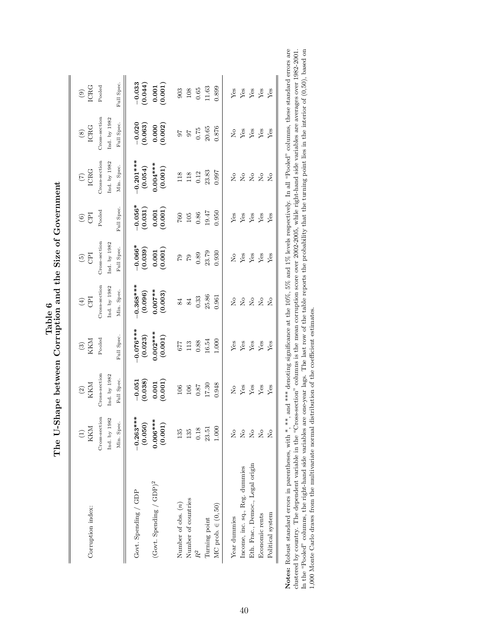| Corruption index:                | KKM                            | $^{(2)}_{\mbox{\tiny KKM}}$                                                 | $\frac{\text{(3)}}{\text{KKM}}$ | <b>GPI</b><br>$\tag{4}$ | CPI<br>$\widetilde{\mathfrak{S}}$                                       | $\circ$ $\overline{5}$                                                  | ICRG<br>$\widetilde{C}$ | <b>ICRG</b><br>$\circledast$       | $\begin{array}{c} (9) \\ \text{ICRG} \end{array}$         |
|----------------------------------|--------------------------------|-----------------------------------------------------------------------------|---------------------------------|-------------------------|-------------------------------------------------------------------------|-------------------------------------------------------------------------|-------------------------|------------------------------------|-----------------------------------------------------------|
|                                  | Cross-section                  | Cross-section                                                               | Pooled                          | Cross-section           | Cross-section                                                           | Pooled                                                                  | Cross-section           | Cross-section                      | Pooled                                                    |
|                                  | Ind. by 1982                   | Ind. by $1982\,$                                                            |                                 | Ind. by 1982            | Ind. by 1982                                                            |                                                                         | Ind. by 1982            | Ind. by 1982                       |                                                           |
|                                  | Min. Spec.                     | Full Spec.                                                                  | Full Spec.                      | Min. Spec.              | Full Spec.                                                              | Full Spec.                                                              | Min. Spec.              | Full Spec.                         | Full Spec.                                                |
| Govt. Spending / GDP             | $-0.263***$<br>(0.050)         | $\begin{array}{c} -0.051 \ (0.038) \end{array}$                             | $0.076***$<br>(0.023)           | $0.368***$<br>(0.096)   | $\begin{array}{c} -0.066* \\ (0.039) \end{array}$                       | $\begin{array}{c} -0.056^{*} \\ (0.031) \end{array}$                    | $-0.201***$<br>(0.054)  | $-0.020$<br>(0.063)                | $-0.033$<br>(0.044)                                       |
| $(Govt.$ Spending / $GDP)^2$     | $0.006***$<br>(0.001)          | (0.001)                                                                     | $0.002***$                      | $0.007**$<br>(0.003)    | $\begin{array}{c} 0.001 \\ 0.001 \end{array}$                           | (0.001)                                                                 | (0.001)                 | (0.000)                            | $\begin{array}{c} 0.001 \\ (0.001) \end{array}$           |
| Number of obs. (n)               | 135                            | 106                                                                         | <b>LL9</b>                      | 84                      |                                                                         | $760\,$                                                                 | 118                     | $\angle 6$                         |                                                           |
| Number of countries              | 135                            | $106\,$                                                                     | $113\,$                         | 84                      |                                                                         | $105\,$                                                                 | 118                     | $^{57}$                            |                                                           |
|                                  | 0.18                           | $0.87$                                                                      | $\rm 0.88$                      | 0.33                    | 88.0<br>6 a d                                                           | 0.86                                                                    | 0.12                    | 0.75                               | $\begin{array}{c} 903 \\ 106 \\ 0.63 \\ 1.63 \end{array}$ |
| Turning point                    | 23.51                          | 17.30                                                                       | 16.54                           | 25.86                   | 23.79                                                                   | 19.47                                                                   | 23.83                   | $20.65\,$                          |                                                           |
| $MC$ prob. $\in (0, 50)$         | 1.000                          | 0.948                                                                       | 1.000                           | 0.961                   | 0.930                                                                   | 0.950                                                                   | 0.997                   | 0.876                              | 0.899                                                     |
| Year dummies                     | $\frac{1}{2}$                  | $\mathop{\mathsf{S}}\nolimits$                                              | ${\rm Yes}$                     | $\frac{1}{2}$           | $\stackrel{\circ}{\simeq}$                                              |                                                                         |                         |                                    |                                                           |
| Income, inc. sq., Reg. dummies   | $\mathop{\mathsf{S}}\nolimits$ | $\begin{array}{c}\n\mathbf{Yes}\\ \mathbf{Yes}\\ \mathbf{Yes}\n\end{array}$ | $\mathbf{Yes}$                  |                         | $\begin{array}{c}\mathbf{Yes}\\ \mathbf{Yes}\\ \mathbf{Yes}\end{array}$ | $\begin{array}{c}\n\text{Yes} \\ \text{Yes} \\ \text{Yes}\n\end{array}$ | 2222                    | $X_{\text{ss}}$<br>$Y_{\text{es}}$ | Yes<br>Yes<br>Yes                                         |
| Eth. Frac., Democ., Legal origin | $\rm _{N}^{\circ}$             |                                                                             | ${\rm Yes}$                     | 222                     |                                                                         |                                                                         |                         |                                    |                                                           |
| Economic rents                   | $\overline{R}$                 |                                                                             | $\rm Yes$                       |                         |                                                                         |                                                                         |                         |                                    |                                                           |
| Political system                 | $\overline{R}$                 | Yes                                                                         | Yes                             | $\overline{R}$          | Yes                                                                     | Yes                                                                     | $\tilde{z}$             | $Y$ es                             | Yes                                                       |

| Notes: Robust standard errors in parentheses, with $*$ , $**$ , and $**$ denoting significance at the 10%, 5% and 1% levels respectively. In all "Pooled" columns, these standard errors are |
|----------------------------------------------------------------------------------------------------------------------------------------------------------------------------------------------|
| clustered by country. The dependent variable in the "Cross-section" columns is the mean corruption score over 2002-2005, while right-hand side variables are averages over 1982-2001.        |
| In the "Pooled" columns, the right-hand side variables are one-year lags. The last row of the table reports the probability that the turning point lies in the interior of (0,50), based on  |
| 1,000 Monte Carlo draws from the multivariate normal distribution of the coefficient estimates.                                                                                              |
|                                                                                                                                                                                              |

The U-Shape between Corruption and the Size of Government  $% \mathcal{N}$ The U-Shape between Corruption and the Size of Government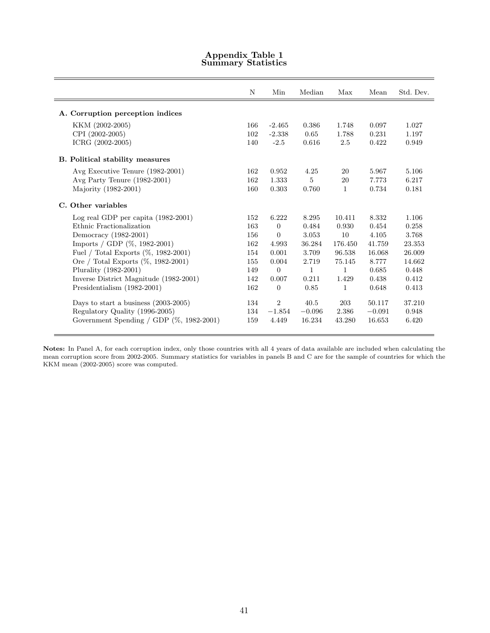|                                          | N   | Min            | Median       | Max          | Mean     | Std. Dev. |
|------------------------------------------|-----|----------------|--------------|--------------|----------|-----------|
| A. Corruption perception indices         |     |                |              |              |          |           |
| KKM (2002-2005)                          | 166 | $-2.465$       | 0.386        | 1.748        | 0.097    | 1.027     |
| CPI (2002-2005)                          | 102 | $-2.338$       | 0.65         | 1.788        | 0.231    | 1.197     |
| ICRG (2002-2005)                         | 140 | $-2.5$         | 0.616        | 2.5          | 0.422    | 0.949     |
| <b>B.</b> Political stability measures   |     |                |              |              |          |           |
| Avg Executive Tenure (1982-2001)         | 162 | 0.952          | 4.25         | 20           | 5.967    | 5.106     |
| Avg Party Tenure (1982-2001)             | 162 | 1.333          | 5            | 20           | 7.773    | 6.217     |
| Majority (1982-2001)                     | 160 | 0.303          | 0.760        | 1            | 0.734    | 0.181     |
| C. Other variables                       |     |                |              |              |          |           |
| Log real GDP per capita $(1982-2001)$    | 152 | 6.222          | 8.295        | 10.411       | 8.332    | 1.106     |
| Ethnic Fractionalization                 | 163 | $\overline{0}$ | 0.484        | 0.930        | 0.454    | 0.258     |
| Democracy (1982-2001)                    | 156 | $\Omega$       | 3.053        | 10           | 4.105    | 3.768     |
| Imports / GDP $(\%, 1982-2001)$          | 162 | 4.993          | 36.284       | 176.450      | 41.759   | 23.353    |
| Fuel / Total Exports (%, 1982-2001)      | 154 | 0.001          | 3.709        | 96.538       | 16.068   | 26.009    |
| Ore / Total Exports (%, 1982-2001)       | 155 | 0.004          | 2.719        | 75.145       | 8.777    | 14.662    |
| Plurality (1982-2001)                    | 149 | $\Omega$       | $\mathbf{1}$ | 1            | 0.685    | 0.448     |
| Inverse District Magnitude (1982-2001)   | 142 | 0.007          | 0.211        | 1.429        | 0.438    | 0.412     |
| Presidentialism (1982-2001)              | 162 | $\overline{0}$ | 0.85         | $\mathbf{1}$ | 0.648    | 0.413     |
| Days to start a business $(2003-2005)$   | 134 | $\overline{2}$ | 40.5         | 203          | 50.117   | 37.210    |
| Regulatory Quality (1996-2005)           | 134 | $-1.854$       | $-0.096$     | 2.386        | $-0.091$ | 0.948     |
| Government Spending / GDP (%, 1982-2001) | 159 | 4.449          | 16.234       | 43.280       | 16.653   | 6.420     |

# Appendix Table 1 Summary Statistics

Notes: In Panel A, for each corruption index, only those countries with all 4 years of data available are included when calculating the mean corruption score from 2002-2005. Summary statistics for variables in panels B and C are for the sample of countries for which the KKM mean (2002-2005) score was computed.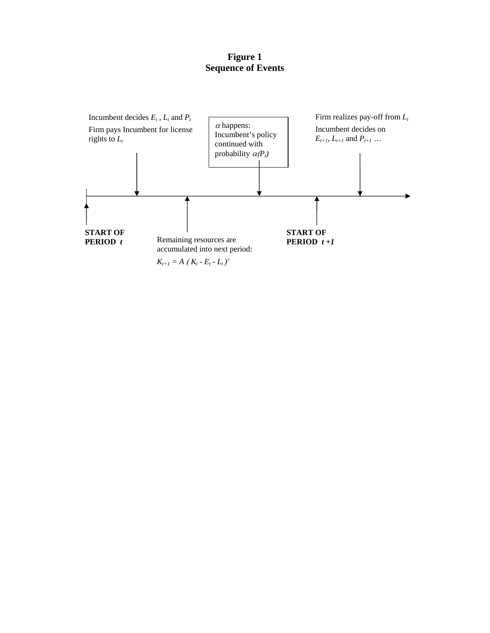**Figure 1 Sequence of Events** 

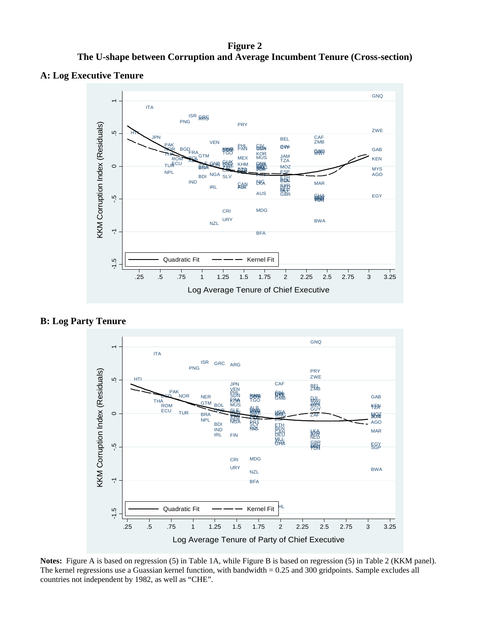**Figure 2 The U-shape between Corruption and Average Incumbent Tenure (Cross-section)** 

# **A: Log Executive Tenure**



**B: Log Party Tenure** 



**Notes:** Figure A is based on regression (5) in Table 1A, while Figure B is based on regression (5) in Table 2 (KKM panel). The kernel regressions use a Guassian kernel function, with bandwidth = 0.25 and 300 gridpoints. Sample excludes all countries not independent by 1982, as well as "CHE".